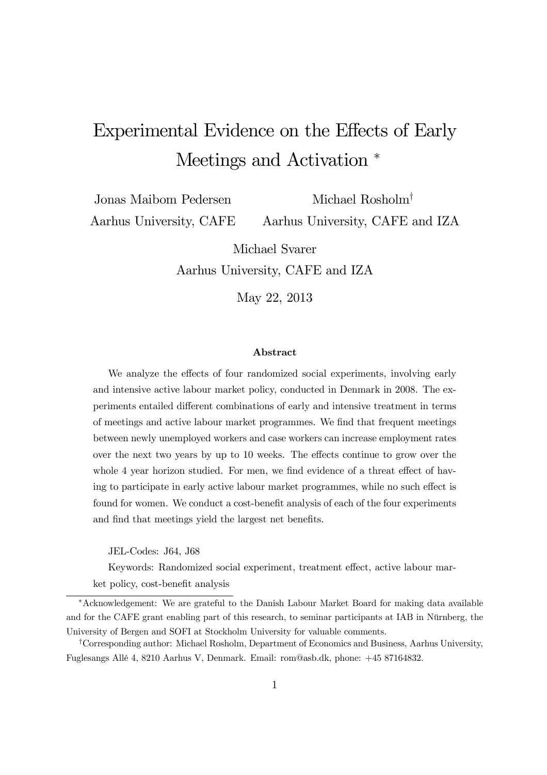## Experimental Evidence on the Effects of Early Meetings and Activation  $*$

Jonas Maibom Pedersen Aarhus University, CAFE Michael Rosholm†

Aarhus University, CAFE and IZA

Michael Svarer

Aarhus University, CAFE and IZA

May 22, 2013

#### Abstract

We analyze the effects of four randomized social experiments, involving early and intensive active labour market policy, conducted in Denmark in 2008. The experiments entailed different combinations of early and intensive treatment in terms of meetings and active labour market programmes. We find that frequent meetings between newly unemployed workers and case workers can increase employment rates over the next two years by up to 10 weeks. The effects continue to grow over the whole 4 year horizon studied. For men, we find evidence of a threat effect of having to participate in early active labour market programmes, while no such effect is found for women. We conduct a cost-benefit analysis of each of the four experiments and find that meetings yield the largest net benefits.

JEL-Codes: J64, J68

Keywords: Randomized social experiment, treatment effect, active labour market policy, cost-benefit analysis

<sup>∗</sup>Acknowledgement: We are grateful to the Danish Labour Market Board for making data available and for the CAFE grant enabling part of this research, to seminar participants at IAB in Nürnberg, the University of Bergen and SOFI at Stockholm University for valuable comments.

†Corresponding author: Michael Rosholm, Department of Economics and Business, Aarhus University, Fuglesangs Allé 4, 8210 Aarhus V, Denmark. Email: rom@asb.dk, phone: +45 87164832.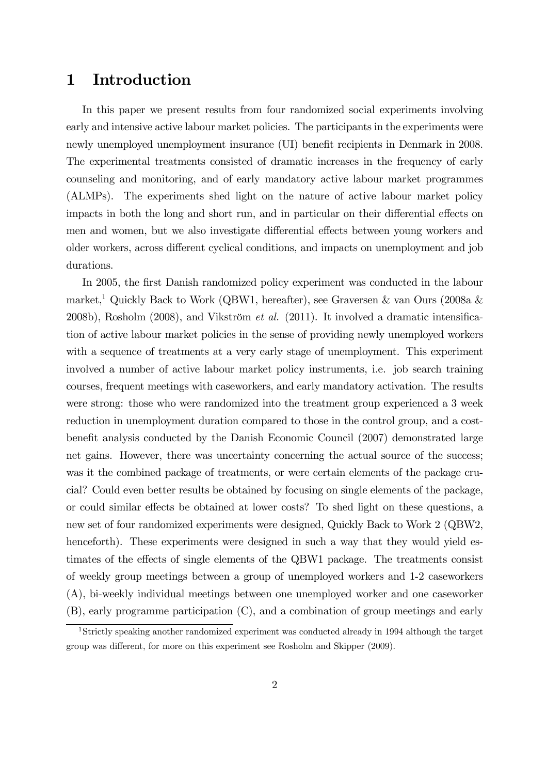## 1 Introduction

In this paper we present results from four randomized social experiments involving early and intensive active labour market policies. The participants in the experiments were newly unemployed unemployment insurance (UI) benefit recipients in Denmark in 2008. The experimental treatments consisted of dramatic increases in the frequency of early counseling and monitoring, and of early mandatory active labour market programmes (ALMPs). The experiments shed light on the nature of active labour market policy impacts in both the long and short run, and in particular on their differential effects on men and women, but we also investigate differential effects between young workers and older workers, across different cyclical conditions, and impacts on unemployment and job durations.

In 2005, the first Danish randomized policy experiment was conducted in the labour market,<sup>1</sup> Quickly Back to Work (QBW1, hereafter), see Graversen & van Ours (2008a & 2008b), Rosholm (2008), and Vikström et al. (2011). It involved a dramatic intensification of active labour market policies in the sense of providing newly unemployed workers with a sequence of treatments at a very early stage of unemployment. This experiment involved a number of active labour market policy instruments, i.e. job search training courses, frequent meetings with caseworkers, and early mandatory activation. The results were strong: those who were randomized into the treatment group experienced a 3 week reduction in unemployment duration compared to those in the control group, and a costbenefit analysis conducted by the Danish Economic Council (2007) demonstrated large net gains. However, there was uncertainty concerning the actual source of the success; was it the combined package of treatments, or were certain elements of the package crucial? Could even better results be obtained by focusing on single elements of the package, or could similar effects be obtained at lower costs? To shed light on these questions, a new set of four randomized experiments were designed, Quickly Back to Work 2 (QBW2, henceforth). These experiments were designed in such a way that they would yield estimates of the effects of single elements of the QBW1 package. The treatments consist of weekly group meetings between a group of unemployed workers and 1-2 caseworkers (A), bi-weekly individual meetings between one unemployed worker and one caseworker (B), early programme participation (C), and a combination of group meetings and early

<sup>&</sup>lt;sup>1</sup>Strictly speaking another randomized experiment was conducted already in 1994 although the target group was different, for more on this experiment see Rosholm and Skipper (2009).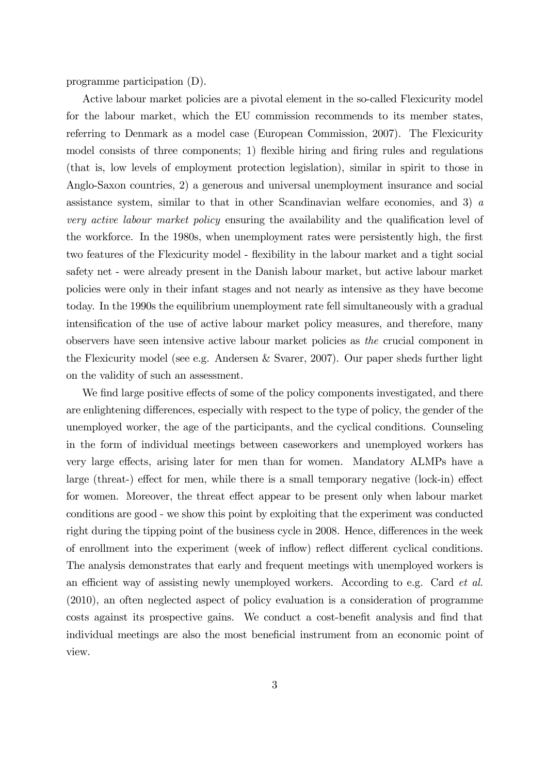programme participation (D).

Active labour market policies are a pivotal element in the so-called Flexicurity model for the labour market, which the EU commission recommends to its member states, referring to Denmark as a model case (European Commission, 2007). The Flexicurity model consists of three components; 1) flexible hiring and firing rules and regulations (that is, low levels of employment protection legislation), similar in spirit to those in Anglo-Saxon countries, 2) a generous and universal unemployment insurance and social assistance system, similar to that in other Scandinavian welfare economies, and 3) a very active labour market policy ensuring the availability and the qualification level of the workforce. In the 1980s, when unemployment rates were persistently high, the first two features of the Flexicurity model - flexibility in the labour market and a tight social safety net - were already present in the Danish labour market, but active labour market policies were only in their infant stages and not nearly as intensive as they have become today. In the 1990s the equilibrium unemployment rate fell simultaneously with a gradual intensification of the use of active labour market policy measures, and therefore, many observers have seen intensive active labour market policies as the crucial component in the Flexicurity model (see e.g. Andersen & Svarer, 2007). Our paper sheds further light on the validity of such an assessment.

We find large positive effects of some of the policy components investigated, and there are enlightening differences, especially with respect to the type of policy, the gender of the unemployed worker, the age of the participants, and the cyclical conditions. Counseling in the form of individual meetings between caseworkers and unemployed workers has very large effects, arising later for men than for women. Mandatory ALMPs have a large (threat-) effect for men, while there is a small temporary negative (lock-in) effect for women. Moreover, the threat effect appear to be present only when labour market conditions are good - we show this point by exploiting that the experiment was conducted right during the tipping point of the business cycle in 2008. Hence, differences in the week of enrollment into the experiment (week of inflow) reflect different cyclical conditions. The analysis demonstrates that early and frequent meetings with unemployed workers is an efficient way of assisting newly unemployed workers. According to e.g. Card et al. (2010), an often neglected aspect of policy evaluation is a consideration of programme costs against its prospective gains. We conduct a cost-benefit analysis and find that individual meetings are also the most beneficial instrument from an economic point of view.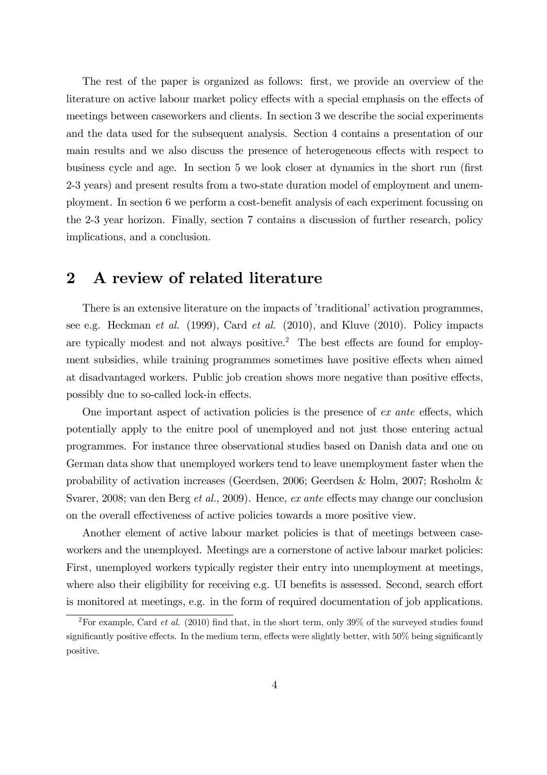The rest of the paper is organized as follows: first, we provide an overview of the literature on active labour market policy effects with a special emphasis on the effects of meetings between caseworkers and clients. In section 3 we describe the social experiments and the data used for the subsequent analysis. Section 4 contains a presentation of our main results and we also discuss the presence of heterogeneous effects with respect to business cycle and age. In section 5 we look closer at dynamics in the short run (first 2-3 years) and present results from a two-state duration model of employment and unemployment. In section 6 we perform a cost-benefit analysis of each experiment focussing on the 2-3 year horizon. Finally, section 7 contains a discussion of further research, policy implications, and a conclusion.

## 2 A review of related literature

There is an extensive literature on the impacts of 'traditional' activation programmes, see e.g. Heckman et al. (1999), Card et al. (2010), and Kluve (2010). Policy impacts are typically modest and not always positive.<sup>2</sup> The best effects are found for employment subsidies, while training programmes sometimes have positive effects when aimed at disadvantaged workers. Public job creation shows more negative than positive effects, possibly due to so-called lock-in effects.

One important aspect of activation policies is the presence of ex ante effects, which potentially apply to the enitre pool of unemployed and not just those entering actual programmes. For instance three observational studies based on Danish data and one on German data show that unemployed workers tend to leave unemployment faster when the probability of activation increases (Geerdsen, 2006; Geerdsen & Holm, 2007; Rosholm & Svarer, 2008; van den Berg et al., 2009). Hence, ex ante effects may change our conclusion on the overall effectiveness of active policies towards a more positive view.

Another element of active labour market policies is that of meetings between caseworkers and the unemployed. Meetings are a cornerstone of active labour market policies: First, unemployed workers typically register their entry into unemployment at meetings, where also their eligibility for receiving e.g. UI benefits is assessed. Second, search effort is monitored at meetings, e.g. in the form of required documentation of job applications.

<sup>&</sup>lt;sup>2</sup>For example, Card *et al.* (2010) find that, in the short term, only 39% of the surveyed studies found significantly positive effects. In the medium term, effects were slightly better, with 50% being significantly positive.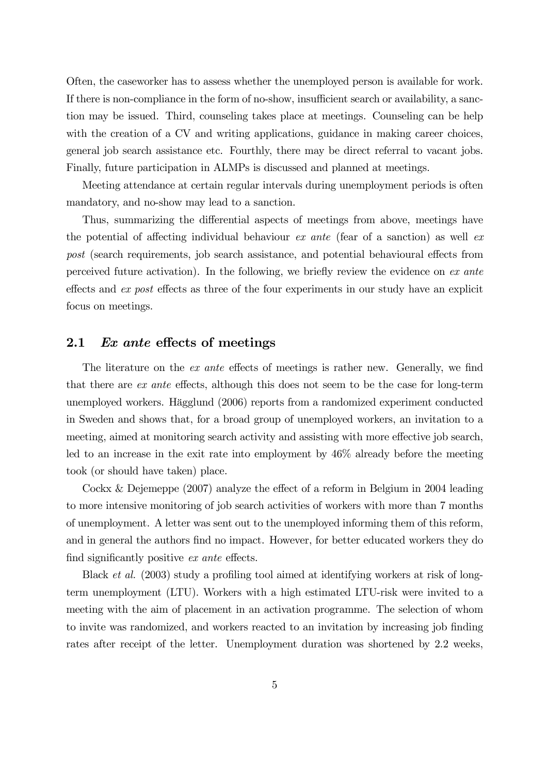Often, the caseworker has to assess whether the unemployed person is available for work. If there is non-compliance in the form of no-show, insufficient search or availability, a sanction may be issued. Third, counseling takes place at meetings. Counseling can be help with the creation of a CV and writing applications, guidance in making career choices, general job search assistance etc. Fourthly, there may be direct referral to vacant jobs. Finally, future participation in ALMPs is discussed and planned at meetings.

Meeting attendance at certain regular intervals during unemployment periods is often mandatory, and no-show may lead to a sanction.

Thus, summarizing the differential aspects of meetings from above, meetings have the potential of affecting individual behaviour ex ante (fear of a sanction) as well ex post (search requirements, job search assistance, and potential behavioural effects from perceived future activation). In the following, we briefly review the evidence on ex ante effects and ex post effects as three of the four experiments in our study have an explicit focus on meetings.

#### 2.1 Ex ante effects of meetings

The literature on the *ex ante* effects of meetings is rather new. Generally, we find that there are ex ante effects, although this does not seem to be the case for long-term unemployed workers. Hägglund (2006) reports from a randomized experiment conducted in Sweden and shows that, for a broad group of unemployed workers, an invitation to a meeting, aimed at monitoring search activity and assisting with more effective job search, led to an increase in the exit rate into employment by 46% already before the meeting took (or should have taken) place.

Cockx & Dejemeppe (2007) analyze the effect of a reform in Belgium in 2004 leading to more intensive monitoring of job search activities of workers with more than 7 months of unemployment. A letter was sent out to the unemployed informing them of this reform, and in general the authors find no impact. However, for better educated workers they do find significantly positive ex ante effects.

Black *et al.* (2003) study a profiling tool aimed at identifying workers at risk of longterm unemployment (LTU). Workers with a high estimated LTU-risk were invited to a meeting with the aim of placement in an activation programme. The selection of whom to invite was randomized, and workers reacted to an invitation by increasing job finding rates after receipt of the letter. Unemployment duration was shortened by 2.2 weeks,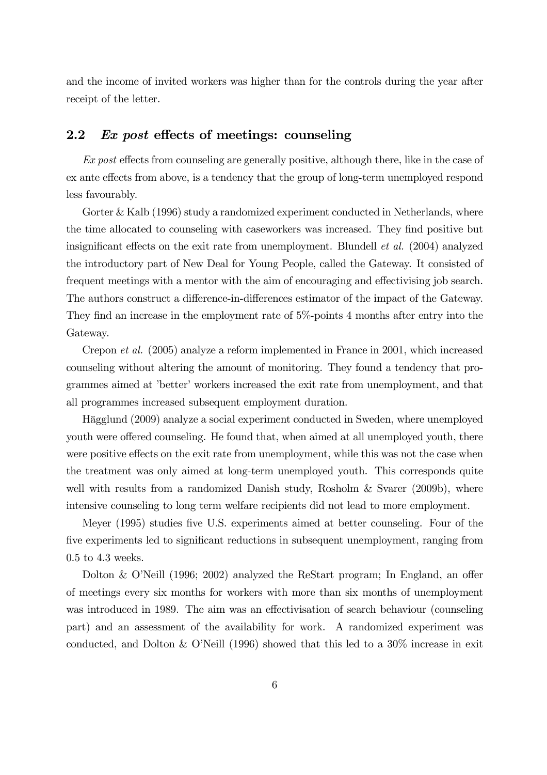and the income of invited workers was higher than for the controls during the year after receipt of the letter.

#### 2.2 Ex post effects of meetings: counseling

Ex post effects from counseling are generally positive, although there, like in the case of ex ante effects from above, is a tendency that the group of long-term unemployed respond less favourably.

Gorter & Kalb (1996) study a randomized experiment conducted in Netherlands, where the time allocated to counseling with caseworkers was increased. They find positive but insignificant effects on the exit rate from unemployment. Blundell et al. (2004) analyzed the introductory part of New Deal for Young People, called the Gateway. It consisted of frequent meetings with a mentor with the aim of encouraging and effectivising job search. The authors construct a difference-in-differences estimator of the impact of the Gateway. They find an increase in the employment rate of 5%-points 4 months after entry into the Gateway.

Crepon et al. (2005) analyze a reform implemented in France in 2001, which increased counseling without altering the amount of monitoring. They found a tendency that programmes aimed at 'better' workers increased the exit rate from unemployment, and that all programmes increased subsequent employment duration.

Hägglund (2009) analyze a social experiment conducted in Sweden, where unemployed youth were offered counseling. He found that, when aimed at all unemployed youth, there were positive effects on the exit rate from unemployment, while this was not the case when the treatment was only aimed at long-term unemployed youth. This corresponds quite well with results from a randomized Danish study, Rosholm & Svarer (2009b), where intensive counseling to long term welfare recipients did not lead to more employment.

Meyer (1995) studies five U.S. experiments aimed at better counseling. Four of the five experiments led to significant reductions in subsequent unemployment, ranging from 0.5 to 4.3 weeks.

Dolton & O'Neill (1996; 2002) analyzed the ReStart program; In England, an offer of meetings every six months for workers with more than six months of unemployment was introduced in 1989. The aim was an effectivisation of search behaviour (counseling part) and an assessment of the availability for work. A randomized experiment was conducted, and Dolton & O'Neill (1996) showed that this led to a 30% increase in exit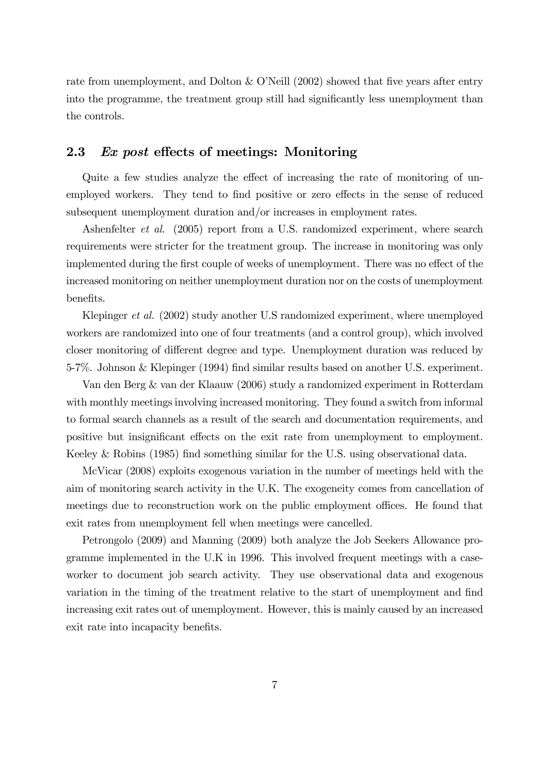rate from unemployment, and Dolton & O'Neill (2002) showed that five years after entry into the programme, the treatment group still had significantly less unemployment than the controls.

#### 2.3 Ex post effects of meetings: Monitoring

Quite a few studies analyze the effect of increasing the rate of monitoring of unemployed workers. They tend to find positive or zero effects in the sense of reduced subsequent unemployment duration and/or increases in employment rates.

Ashenfelter et al. (2005) report from a U.S. randomized experiment, where search requirements were stricter for the treatment group. The increase in monitoring was only implemented during the first couple of weeks of unemployment. There was no effect of the increased monitoring on neither unemployment duration nor on the costs of unemployment benefits.

Klepinger et al. (2002) study another U.S randomized experiment, where unemployed workers are randomized into one of four treatments (and a control group), which involved closer monitoring of different degree and type. Unemployment duration was reduced by 5-7%. Johnson & Klepinger (1994) find similar results based on another U.S. experiment.

Van den Berg & van der Klaauw (2006) study a randomized experiment in Rotterdam with monthly meetings involving increased monitoring. They found a switch from informal to formal search channels as a result of the search and documentation requirements, and positive but insignificant effects on the exit rate from unemployment to employment. Keeley & Robins (1985) find something similar for the U.S. using observational data.

McVicar (2008) exploits exogenous variation in the number of meetings held with the aim of monitoring search activity in the U.K. The exogeneity comes from cancellation of meetings due to reconstruction work on the public employment offices. He found that exit rates from unemployment fell when meetings were cancelled.

Petrongolo (2009) and Manning (2009) both analyze the Job Seekers Allowance programme implemented in the U.K in 1996. This involved frequent meetings with a caseworker to document job search activity. They use observational data and exogenous variation in the timing of the treatment relative to the start of unemployment and find increasing exit rates out of unemployment. However, this is mainly caused by an increased exit rate into incapacity benefits.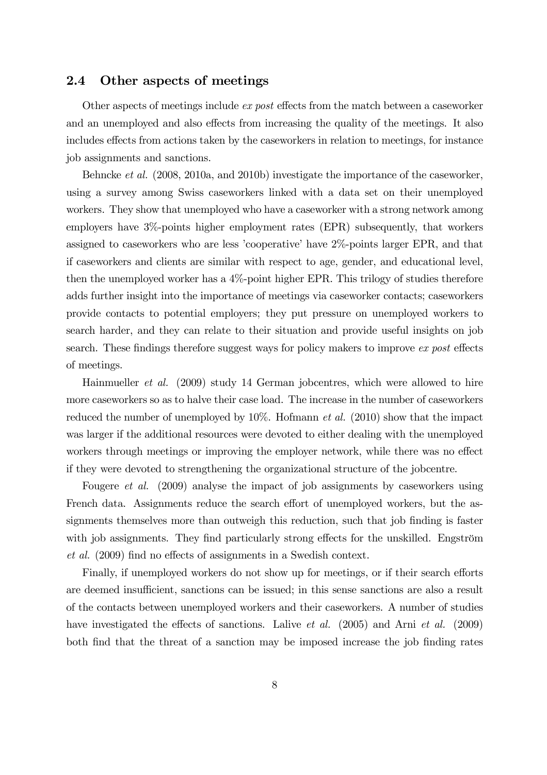#### 2.4 Other aspects of meetings

Other aspects of meetings include ex post effects from the match between a caseworker and an unemployed and also effects from increasing the quality of the meetings. It also includes effects from actions taken by the caseworkers in relation to meetings, for instance job assignments and sanctions.

Behncke et al. (2008, 2010a, and 2010b) investigate the importance of the caseworker, using a survey among Swiss caseworkers linked with a data set on their unemployed workers. They show that unemployed who have a caseworker with a strong network among employers have 3%-points higher employment rates (EPR) subsequently, that workers assigned to caseworkers who are less 'cooperative' have 2%-points larger EPR, and that if caseworkers and clients are similar with respect to age, gender, and educational level, then the unemployed worker has a 4%-point higher EPR. This trilogy of studies therefore adds further insight into the importance of meetings via caseworker contacts; caseworkers provide contacts to potential employers; they put pressure on unemployed workers to search harder, and they can relate to their situation and provide useful insights on job search. These findings therefore suggest ways for policy makers to improve ex post effects of meetings.

Hainmueller et al. (2009) study 14 German jobcentres, which were allowed to hire more caseworkers so as to halve their case load. The increase in the number of caseworkers reduced the number of unemployed by  $10\%$ . Hofmann *et al.* (2010) show that the impact was larger if the additional resources were devoted to either dealing with the unemployed workers through meetings or improving the employer network, while there was no effect if they were devoted to strengthening the organizational structure of the jobcentre.

Fougere et al. (2009) analyse the impact of job assignments by caseworkers using French data. Assignments reduce the search effort of unemployed workers, but the assignments themselves more than outweigh this reduction, such that job finding is faster with job assignments. They find particularly strong effects for the unskilled. Engström et al. (2009) find no effects of assignments in a Swedish context.

Finally, if unemployed workers do not show up for meetings, or if their search efforts are deemed insufficient, sanctions can be issued; in this sense sanctions are also a result of the contacts between unemployed workers and their caseworkers. A number of studies have investigated the effects of sanctions. Lalive *et al.* (2005) and Arni *et al.* (2009) both find that the threat of a sanction may be imposed increase the job finding rates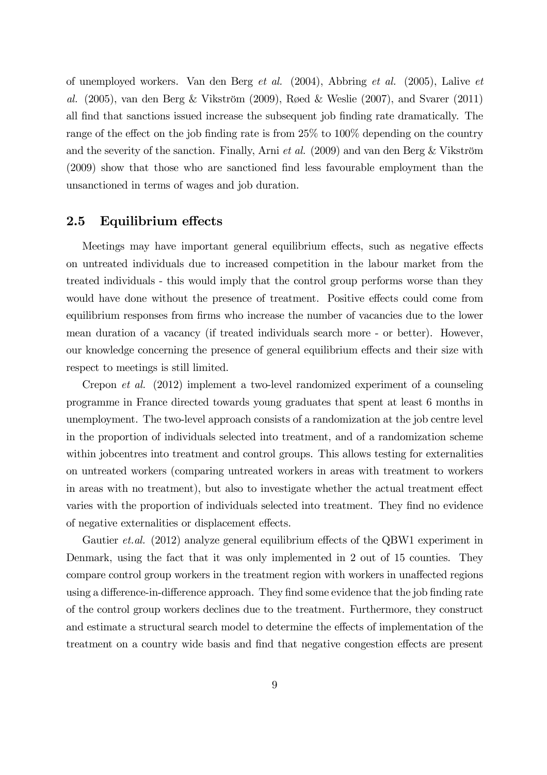of unemployed workers. Van den Berg et al. (2004), Abbring et al. (2005), Lalive et al. (2005), van den Berg & Vikström (2009), Røed & Weslie (2007), and Svarer (2011) all find that sanctions issued increase the subsequent job finding rate dramatically. The range of the effect on the job finding rate is from 25% to 100% depending on the country and the severity of the sanction. Finally, Arni *et al.* (2009) and van den Berg & Vikström (2009) show that those who are sanctioned find less favourable employment than the unsanctioned in terms of wages and job duration.

#### 2.5 Equilibrium effects

Meetings may have important general equilibrium effects, such as negative effects on untreated individuals due to increased competition in the labour market from the treated individuals - this would imply that the control group performs worse than they would have done without the presence of treatment. Positive effects could come from equilibrium responses from firms who increase the number of vacancies due to the lower mean duration of a vacancy (if treated individuals search more - or better). However, our knowledge concerning the presence of general equilibrium effects and their size with respect to meetings is still limited.

Crepon et al. (2012) implement a two-level randomized experiment of a counseling programme in France directed towards young graduates that spent at least 6 months in unemployment. The two-level approach consists of a randomization at the job centre level in the proportion of individuals selected into treatment, and of a randomization scheme within jobcentres into treatment and control groups. This allows testing for externalities on untreated workers (comparing untreated workers in areas with treatment to workers in areas with no treatment), but also to investigate whether the actual treatment effect varies with the proportion of individuals selected into treatment. They find no evidence of negative externalities or displacement effects.

Gautier *et.al.* (2012) analyze general equilibrium effects of the QBW1 experiment in Denmark, using the fact that it was only implemented in 2 out of 15 counties. They compare control group workers in the treatment region with workers in unaffected regions using a difference-in-difference approach. They find some evidence that the job finding rate of the control group workers declines due to the treatment. Furthermore, they construct and estimate a structural search model to determine the effects of implementation of the treatment on a country wide basis and find that negative congestion effects are present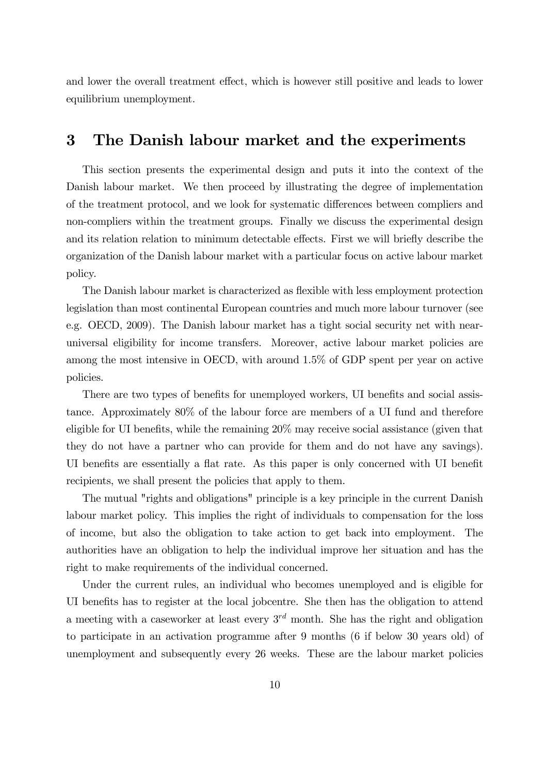and lower the overall treatment effect, which is however still positive and leads to lower equilibrium unemployment.

## 3 The Danish labour market and the experiments

This section presents the experimental design and puts it into the context of the Danish labour market. We then proceed by illustrating the degree of implementation of the treatment protocol, and we look for systematic differences between compliers and non-compliers within the treatment groups. Finally we discuss the experimental design and its relation relation to minimum detectable effects. First we will briefly describe the organization of the Danish labour market with a particular focus on active labour market policy.

The Danish labour market is characterized as flexible with less employment protection legislation than most continental European countries and much more labour turnover (see e.g. OECD, 2009). The Danish labour market has a tight social security net with nearuniversal eligibility for income transfers. Moreover, active labour market policies are among the most intensive in OECD, with around 1.5% of GDP spent per year on active policies.

There are two types of benefits for unemployed workers, UI benefits and social assistance. Approximately 80% of the labour force are members of a UI fund and therefore eligible for UI benefits, while the remaining 20% may receive social assistance (given that they do not have a partner who can provide for them and do not have any savings). UI benefits are essentially a flat rate. As this paper is only concerned with UI benefit recipients, we shall present the policies that apply to them.

The mutual "rights and obligations" principle is a key principle in the current Danish labour market policy. This implies the right of individuals to compensation for the loss of income, but also the obligation to take action to get back into employment. The authorities have an obligation to help the individual improve her situation and has the right to make requirements of the individual concerned.

Under the current rules, an individual who becomes unemployed and is eligible for UI benefits has to register at the local jobcentre. She then has the obligation to attend a meeting with a caseworker at least every  $3^{rd}$  month. She has the right and obligation to participate in an activation programme after 9 months (6 if below 30 years old) of unemployment and subsequently every 26 weeks. These are the labour market policies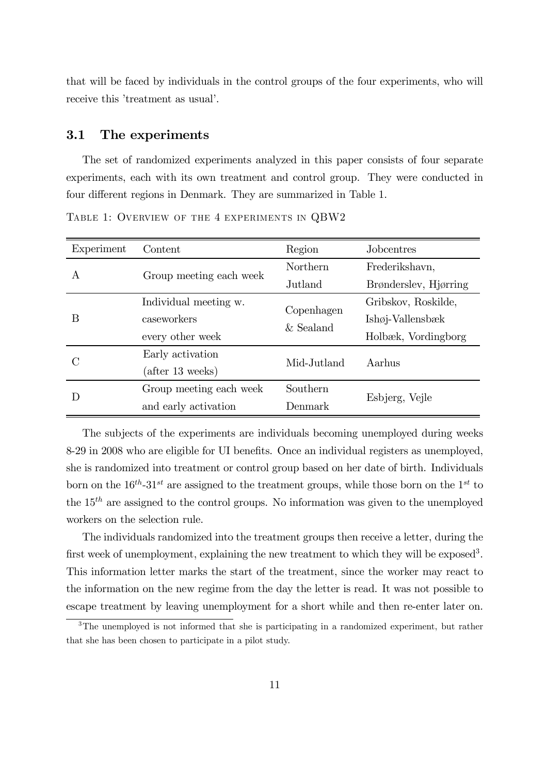that will be faced by individuals in the control groups of the four experiments, who will receive this 'treatment as usual'.

#### 3.1 The experiments

The set of randomized experiments analyzed in this paper consists of four separate experiments, each with its own treatment and control group. They were conducted in four different regions in Denmark. They are summarized in Table 1.

| Experiment   | Content                 | Region          | Jobcentres                |  |
|--------------|-------------------------|-----------------|---------------------------|--|
| $\mathsf{A}$ |                         | <b>Northern</b> | Frederikshavn,            |  |
|              | Group meeting each week | Jutland         | Brønderslev, Hjørring     |  |
| B            | Individual meeting w.   | Copenhagen      | Gribskov, Roskilde,       |  |
|              | caseworkers             |                 | $Ish\varphi$ j-Vallensbæk |  |
|              | every other week        | $&$ Sealand     | Holbæk, Vordingborg       |  |
| С            | Early activation        | Mid-Jutland     | Aarhus                    |  |
|              | (after 13 weeks)        |                 |                           |  |
| D            | Group meeting each week | Southern        |                           |  |
|              | and early activation    | Denmark         | Esbjerg, Vejle            |  |

TABLE 1: OVERVIEW OF THE 4 EXPERIMENTS IN QBW2

The subjects of the experiments are individuals becoming unemployed during weeks 8-29 in 2008 who are eligible for UI benefits. Once an individual registers as unemployed, she is randomized into treatment or control group based on her date of birth. Individuals born on the  $16^{th}$ -31<sup>st</sup> are assigned to the treatment groups, while those born on the 1<sup>st</sup> to the  $15<sup>th</sup>$  are assigned to the control groups. No information was given to the unemployed workers on the selection rule.

The individuals randomized into the treatment groups then receive a letter, during the first week of unemployment, explaining the new treatment to which they will be exposed<sup>3</sup>. This information letter marks the start of the treatment, since the worker may react to the information on the new regime from the day the letter is read. It was not possible to escape treatment by leaving unemployment for a short while and then re-enter later on.

<sup>&</sup>lt;sup>3</sup>The unemployed is not informed that she is participating in a randomized experiment, but rather that she has been chosen to participate in a pilot study.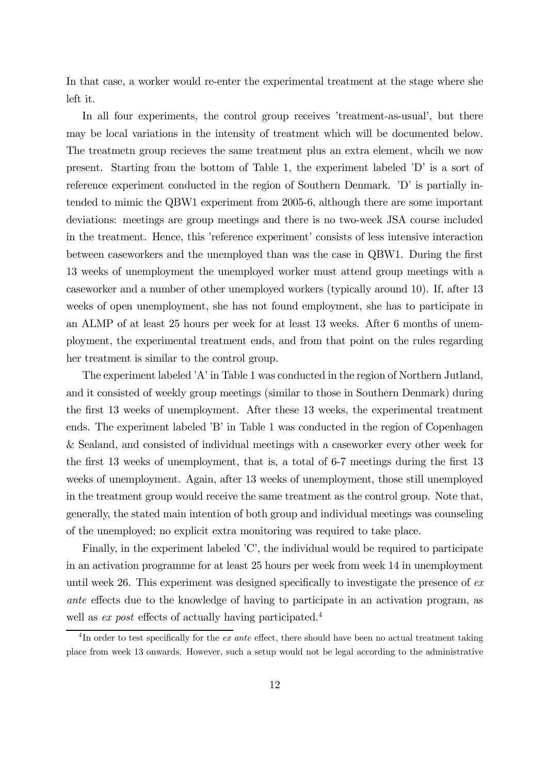In that case, a worker would re-enter the experimental treatment at the stage where she left it.

In all four experiments, the control group receives 'treatment-as-usual', but there may be local variations in the intensity of treatment which will be documented below. The treatmetn group recieves the same treatment plus an extra element, whcih we now present. Starting from the bottom of Table 1, the experiment labeled 'D' is a sort of reference experiment conducted in the region of Southern Denmark. 'D' is partially intended to mimic the QBW1 experiment from 2005-6, although there are some important deviations: meetings are group meetings and there is no two-week JSA course included in the treatment. Hence, this 'reference experiment' consists of less intensive interaction between caseworkers and the unemployed than was the case in QBW1. During the first 13 weeks of unemployment the unemployed worker must attend group meetings with a caseworker and a number of other unemployed workers (typically around 10). If, after 13 weeks of open unemployment, she has not found employment, she has to participate in an ALMP of at least 25 hours per week for at least 13 weeks. After 6 months of unemployment, the experimental treatment ends, and from that point on the rules regarding her treatment is similar to the control group.

The experiment labeled 'A' in Table 1 was conducted in the region of Northern Jutland, and it consisted of weekly group meetings (similar to those in Southern Denmark) during the first 13 weeks of unemployment. After these 13 weeks, the experimental treatment ends. The experiment labeled 'B' in Table 1 was conducted in the region of Copenhagen & Sealand, and consisted of individual meetings with a caseworker every other week for the first 13 weeks of unemployment, that is, a total of 6-7 meetings during the first 13 weeks of unemployment. Again, after 13 weeks of unemployment, those still unemployed in the treatment group would receive the same treatment as the control group. Note that, generally, the stated main intention of both group and individual meetings was counseling of the unemployed; no explicit extra monitoring was required to take place.

Finally, in the experiment labeled 'C', the individual would be required to participate in an activation programme for at least 25 hours per week from week 14 in unemployment until week 26. This experiment was designed specifically to investigate the presence of ex ante effects due to the knowledge of having to participate in an activation program, as well as ex post effects of actually having participated.<sup>4</sup>

<sup>&</sup>lt;sup>4</sup>In order to test specifically for the *ex ante* effect, there should have been no actual treatment taking place from week 13 onwards. However, such a setup would not be legal according to the administrative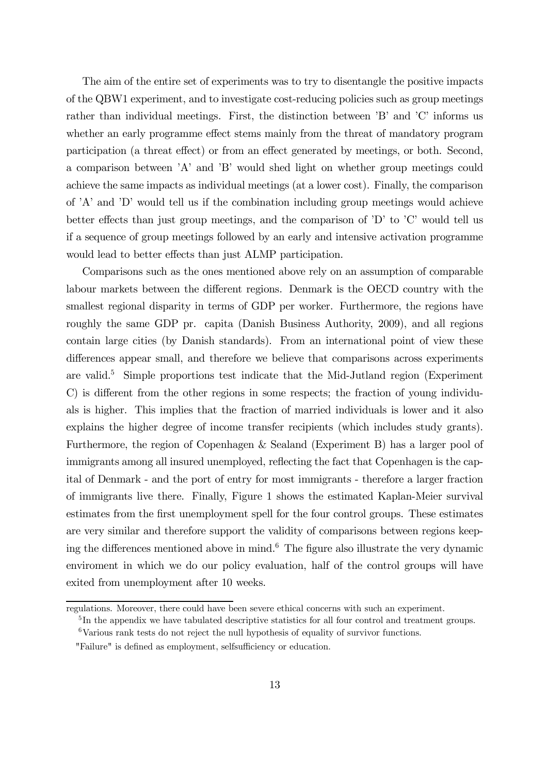The aim of the entire set of experiments was to try to disentangle the positive impacts of the QBW1 experiment, and to investigate cost-reducing policies such as group meetings rather than individual meetings. First, the distinction between 'B' and 'C' informs us whether an early programme effect stems mainly from the threat of mandatory program participation (a threat effect) or from an effect generated by meetings, or both. Second, a comparison between 'A' and 'B' would shed light on whether group meetings could achieve the same impacts as individual meetings (at a lower cost). Finally, the comparison of 'A' and 'D' would tell us if the combination including group meetings would achieve better effects than just group meetings, and the comparison of 'D' to 'C' would tell us if a sequence of group meetings followed by an early and intensive activation programme would lead to better effects than just ALMP participation.

Comparisons such as the ones mentioned above rely on an assumption of comparable labour markets between the different regions. Denmark is the OECD country with the smallest regional disparity in terms of GDP per worker. Furthermore, the regions have roughly the same GDP pr. capita (Danish Business Authority, 2009), and all regions contain large cities (by Danish standards). From an international point of view these differences appear small, and therefore we believe that comparisons across experiments are valid.<sup>5</sup> Simple proportions test indicate that the Mid-Jutland region (Experiment C) is different from the other regions in some respects; the fraction of young individuals is higher. This implies that the fraction of married individuals is lower and it also explains the higher degree of income transfer recipients (which includes study grants). Furthermore, the region of Copenhagen & Sealand (Experiment B) has a larger pool of immigrants among all insured unemployed, reflecting the fact that Copenhagen is the capital of Denmark - and the port of entry for most immigrants - therefore a larger fraction of immigrants live there. Finally, Figure 1 shows the estimated Kaplan-Meier survival estimates from the first unemployment spell for the four control groups. These estimates are very similar and therefore support the validity of comparisons between regions keeping the differences mentioned above in mind. $6$  The figure also illustrate the very dynamic enviroment in which we do our policy evaluation, half of the control groups will have exited from unemployment after 10 weeks.

regulations. Moreover, there could have been severe ethical concerns with such an experiment.

<sup>&</sup>lt;sup>5</sup>In the appendix we have tabulated descriptive statistics for all four control and treatment groups.  $6$ Various rank tests do not reject the null hypothesis of equality of survivor functions.

<sup>&</sup>quot;Failure" is defined as employment, selfsufficiency or education.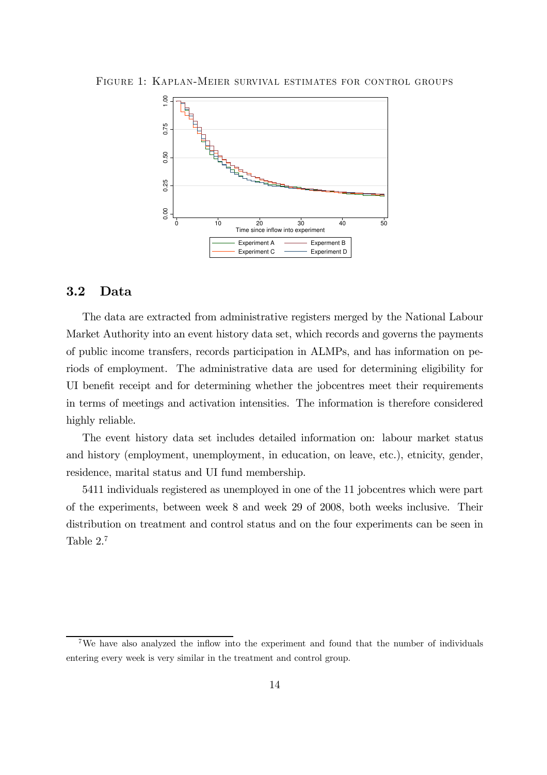

FIGURE 1: KAPLAN-MEIER SURVIVAL ESTIMATES FOR CONTROL GROUPS

#### 3.2 Data

The data are extracted from administrative registers merged by the National Labour Market Authority into an event history data set, which records and governs the payments of public income transfers, records participation in ALMPs, and has information on periods of employment. The administrative data are used for determining eligibility for UI benefit receipt and for determining whether the jobcentres meet their requirements in terms of meetings and activation intensities. The information is therefore considered highly reliable.

The event history data set includes detailed information on: labour market status and history (employment, unemployment, in education, on leave, etc.), etnicity, gender, residence, marital status and UI fund membership.

5411 individuals registered as unemployed in one of the 11 jobcentres which were part of the experiments, between week 8 and week 29 of 2008, both weeks inclusive. Their distribution on treatment and control status and on the four experiments can be seen in Table 2.<sup>7</sup>

<sup>7</sup>We have also analyzed the inflow into the experiment and found that the number of individuals entering every week is very similar in the treatment and control group.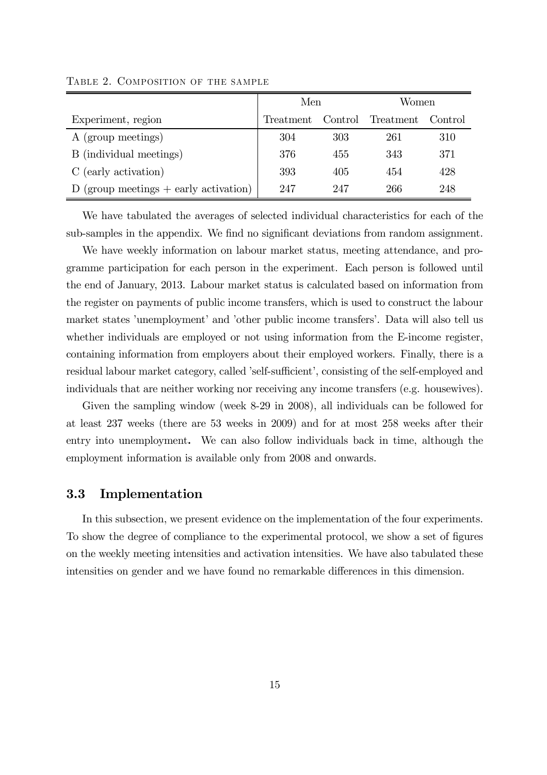|                                           | Men       |     | Women                     |     |
|-------------------------------------------|-----------|-----|---------------------------|-----|
| Experiment, region                        | Treatment |     | Control Treatment Control |     |
| A (group meetings)                        | 304       | 303 | 261                       | 310 |
| B (individual meetings)                   | 376       | 455 | 343                       | 371 |
| C (early activation)                      | 393       | 405 | 454                       | 428 |
| $D$ (group meetings $+$ early activation) | 247       | 247 | 266                       | 248 |

TABLE 2. COMPOSITION OF THE SAMPLE

We have tabulated the averages of selected individual characteristics for each of the sub-samples in the appendix. We find no significant deviations from random assignment.

We have weekly information on labour market status, meeting attendance, and programme participation for each person in the experiment. Each person is followed until the end of January, 2013. Labour market status is calculated based on information from the register on payments of public income transfers, which is used to construct the labour market states 'unemployment' and 'other public income transfers'. Data will also tell us whether individuals are employed or not using information from the E-income register, containing information from employers about their employed workers. Finally, there is a residual labour market category, called 'self-sufficient', consisting of the self-employed and individuals that are neither working nor receiving any income transfers (e.g. housewives).

Given the sampling window (week 8-29 in 2008), all individuals can be followed for at least 237 weeks (there are 53 weeks in 2009) and for at most 258 weeks after their entry into unemployment. We can also follow individuals back in time, although the employment information is available only from 2008 and onwards.

#### 3.3 Implementation

In this subsection, we present evidence on the implementation of the four experiments. To show the degree of compliance to the experimental protocol, we show a set of figures on the weekly meeting intensities and activation intensities. We have also tabulated these intensities on gender and we have found no remarkable differences in this dimension.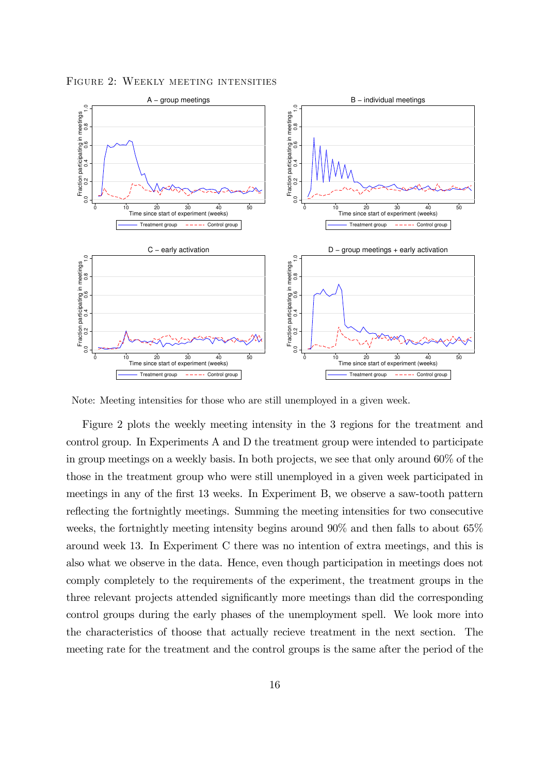

FIGURE 2: WEEKLY MEETING INTENSITIES

Note: Meeting intensities for those who are still unemployed in a given week.

Figure 2 plots the weekly meeting intensity in the 3 regions for the treatment and control group. In Experiments A and D the treatment group were intended to participate in group meetings on a weekly basis. In both projects, we see that only around 60% of the those in the treatment group who were still unemployed in a given week participated in meetings in any of the first 13 weeks. In Experiment B, we observe a saw-tooth pattern reflecting the fortnightly meetings. Summing the meeting intensities for two consecutive weeks, the fortnightly meeting intensity begins around 90% and then falls to about 65% around week 13. In Experiment C there was no intention of extra meetings, and this is also what we observe in the data. Hence, even though participation in meetings does not comply completely to the requirements of the experiment, the treatment groups in the three relevant projects attended significantly more meetings than did the corresponding control groups during the early phases of the unemployment spell. We look more into the characteristics of thoose that actually recieve treatment in the next section. The meeting rate for the treatment and the control groups is the same after the period of the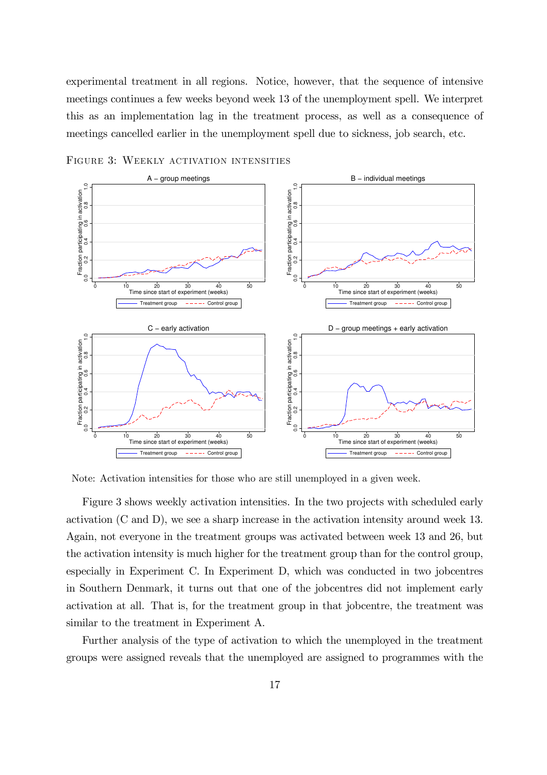experimental treatment in all regions. Notice, however, that the sequence of intensive meetings continues a few weeks beyond week 13 of the unemployment spell. We interpret this as an implementation lag in the treatment process, as well as a consequence of meetings cancelled earlier in the unemployment spell due to sickness, job search, etc.



FIGURE 3: WEEKLY ACTIVATION INTENSITIES

Note: Activation intensities for those who are still unemployed in a given week.

Figure 3 shows weekly activation intensities. In the two projects with scheduled early activation (C and D), we see a sharp increase in the activation intensity around week 13. Again, not everyone in the treatment groups was activated between week 13 and 26, but the activation intensity is much higher for the treatment group than for the control group, especially in Experiment C. In Experiment D, which was conducted in two jobcentres in Southern Denmark, it turns out that one of the jobcentres did not implement early activation at all. That is, for the treatment group in that jobcentre, the treatment was similar to the treatment in Experiment A.

Further analysis of the type of activation to which the unemployed in the treatment groups were assigned reveals that the unemployed are assigned to programmes with the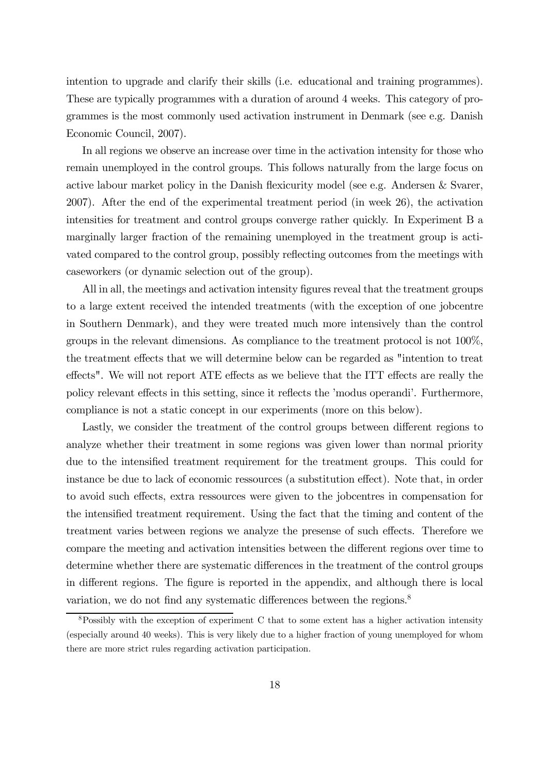intention to upgrade and clarify their skills (i.e. educational and training programmes). These are typically programmes with a duration of around 4 weeks. This category of programmes is the most commonly used activation instrument in Denmark (see e.g. Danish Economic Council, 2007).

In all regions we observe an increase over time in the activation intensity for those who remain unemployed in the control groups. This follows naturally from the large focus on active labour market policy in the Danish flexicurity model (see e.g. Andersen & Svarer, 2007). After the end of the experimental treatment period (in week 26), the activation intensities for treatment and control groups converge rather quickly. In Experiment B a marginally larger fraction of the remaining unemployed in the treatment group is activated compared to the control group, possibly reflecting outcomes from the meetings with caseworkers (or dynamic selection out of the group).

All in all, the meetings and activation intensity figures reveal that the treatment groups to a large extent received the intended treatments (with the exception of one jobcentre in Southern Denmark), and they were treated much more intensively than the control groups in the relevant dimensions. As compliance to the treatment protocol is not 100%, the treatment effects that we will determine below can be regarded as "intention to treat effects". We will not report ATE effects as we believe that the ITT effects are really the policy relevant effects in this setting, since it reflects the 'modus operandi'. Furthermore, compliance is not a static concept in our experiments (more on this below).

Lastly, we consider the treatment of the control groups between different regions to analyze whether their treatment in some regions was given lower than normal priority due to the intensified treatment requirement for the treatment groups. This could for instance be due to lack of economic ressources (a substitution effect). Note that, in order to avoid such effects, extra ressources were given to the jobcentres in compensation for the intensified treatment requirement. Using the fact that the timing and content of the treatment varies between regions we analyze the presense of such effects. Therefore we compare the meeting and activation intensities between the different regions over time to determine whether there are systematic differences in the treatment of the control groups in different regions. The figure is reported in the appendix, and although there is local variation, we do not find any systematic differences between the regions.<sup>8</sup>

<sup>8</sup>Possibly with the exception of experiment C that to some extent has a higher activation intensity (especially around 40 weeks). This is very likely due to a higher fraction of young unemployed for whom there are more strict rules regarding activation participation.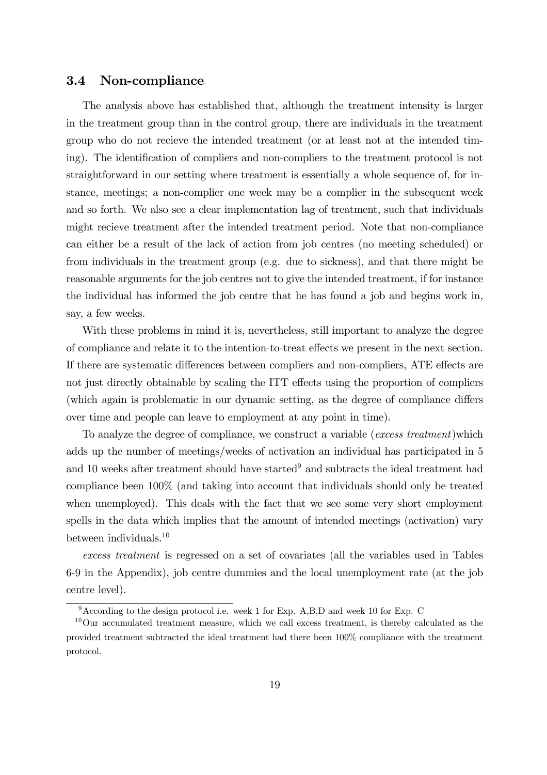#### 3.4 Non-compliance

The analysis above has established that, although the treatment intensity is larger in the treatment group than in the control group, there are individuals in the treatment group who do not recieve the intended treatment (or at least not at the intended timing). The identification of compliers and non-compliers to the treatment protocol is not straightforward in our setting where treatment is essentially a whole sequence of, for instance, meetings; a non-complier one week may be a complier in the subsequent week and so forth. We also see a clear implementation lag of treatment, such that individuals might recieve treatment after the intended treatment period. Note that non-compliance can either be a result of the lack of action from job centres (no meeting scheduled) or from individuals in the treatment group (e.g. due to sickness), and that there might be reasonable arguments for the job centres not to give the intended treatment, if for instance the individual has informed the job centre that he has found a job and begins work in, say, a few weeks.

With these problems in mind it is, nevertheless, still important to analyze the degree of compliance and relate it to the intention-to-treat effects we present in the next section. If there are systematic differences between compliers and non-compliers, ATE effects are not just directly obtainable by scaling the ITT effects using the proportion of compliers (which again is problematic in our dynamic setting, as the degree of compliance differs over time and people can leave to employment at any point in time).

To analyze the degree of compliance, we construct a variable (excess treatment)which adds up the number of meetings/weeks of activation an individual has participated in 5 and 10 weeks after treatment should have started<sup>9</sup> and subtracts the ideal treatment had compliance been 100% (and taking into account that individuals should only be treated when unemployed). This deals with the fact that we see some very short employment spells in the data which implies that the amount of intended meetings (activation) vary between individuals.<sup>10</sup>

excess treatment is regressed on a set of covariates (all the variables used in Tables 6-9 in the Appendix), job centre dummies and the local unemployment rate (at the job centre level).

<sup>9</sup>According to the design protocol i.e. week 1 for Exp. A,B,D and week 10 for Exp. C

<sup>&</sup>lt;sup>10</sup>Our accumulated treatment measure, which we call excess treatment, is thereby calculated as the provided treatment subtracted the ideal treatment had there been 100% compliance with the treatment protocol.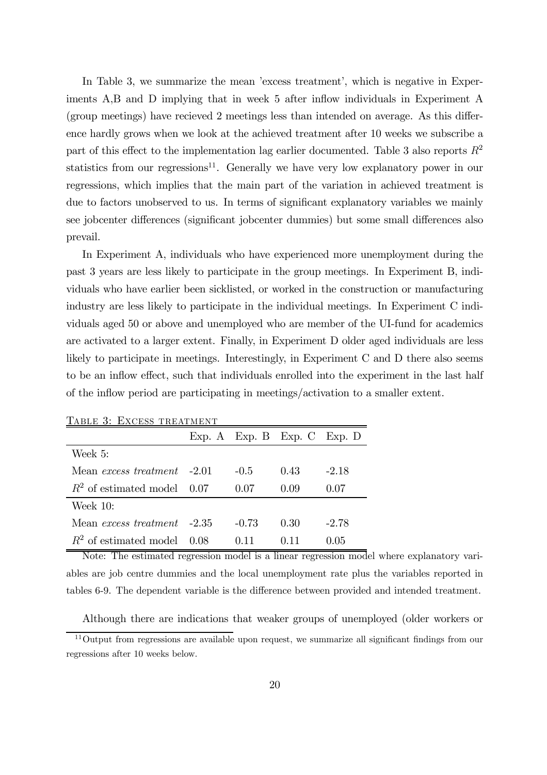In Table 3, we summarize the mean 'excess treatment', which is negative in Experiments A,B and D implying that in week 5 after inflow individuals in Experiment A (group meetings) have recieved 2 meetings less than intended on average. As this difference hardly grows when we look at the achieved treatment after 10 weeks we subscribe a part of this effect to the implementation lag earlier documented. Table 3 also reports  $R^2$ statistics from our regressions<sup>11</sup>. Generally we have very low explanatory power in our regressions, which implies that the main part of the variation in achieved treatment is due to factors unobserved to us. In terms of significant explanatory variables we mainly see jobcenter differences (significant jobcenter dummies) but some small differences also prevail.

In Experiment A, individuals who have experienced more unemployment during the past 3 years are less likely to participate in the group meetings. In Experiment B, individuals who have earlier been sicklisted, or worked in the construction or manufacturing industry are less likely to participate in the individual meetings. In Experiment C individuals aged 50 or above and unemployed who are member of the UI-fund for academics are activated to a larger extent. Finally, in Experiment D older aged individuals are less likely to participate in meetings. Interestingly, in Experiment C and D there also seems to be an inflow effect, such that individuals enrolled into the experiment in the last half of the inflow period are participating in meetings/activation to a smaller extent.

| TABLE 3: EXCESS TREATMENT          |  |         |                               |         |  |  |
|------------------------------------|--|---------|-------------------------------|---------|--|--|
|                                    |  |         | $Exp. A$ Exp. B Exp. C Exp. D |         |  |  |
| Week 5:                            |  |         |                               |         |  |  |
| Mean <i>excess treatment</i> -201  |  | $-0.5$  | 0.43                          | $-2.18$ |  |  |
| $R^2$ of estimated model 0.07      |  | 0.07    | 0.09                          | 0.07    |  |  |
| Week 10:                           |  |         |                               |         |  |  |
| Mean <i>excess treatment</i> -2.35 |  | $-0.73$ | 0.30                          | $-2.78$ |  |  |
| $R^2$ of estimated model 0.08      |  | (111)   | 0.11                          | 0.05    |  |  |

Note: The estimated regression model is a linear regression model where explanatory variables are job centre dummies and the local unemployment rate plus the variables reported in tables 6-9. The dependent variable is the difference between provided and intended treatment.

Although there are indications that weaker groups of unemployed (older workers or

 $11$ Output from regressions are available upon request, we summarize all significant findings from our regressions after 10 weeks below.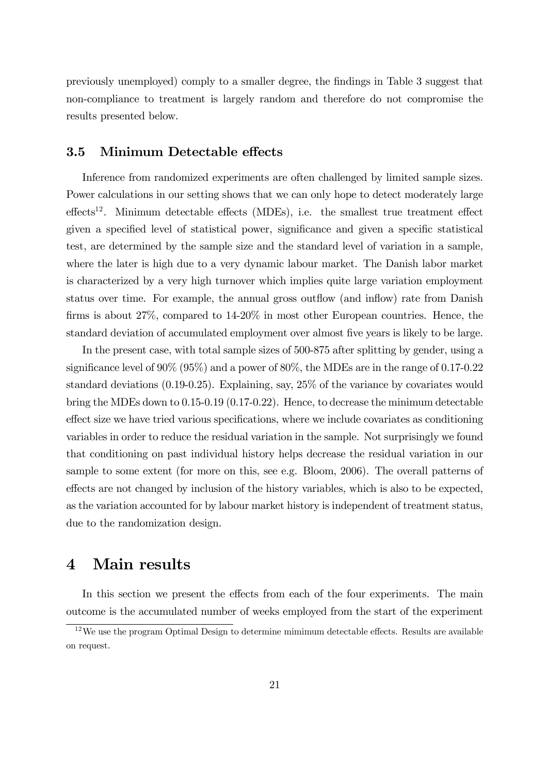previously unemployed) comply to a smaller degree, the findings in Table 3 suggest that non-compliance to treatment is largely random and therefore do not compromise the results presented below.

#### 3.5 Minimum Detectable effects

Inference from randomized experiments are often challenged by limited sample sizes. Power calculations in our setting shows that we can only hope to detect moderately large  $\text{effects}^{12}$ . Minimum detectable effects (MDEs), i.e. the smallest true treatment effect given a specified level of statistical power, significance and given a specific statistical test, are determined by the sample size and the standard level of variation in a sample, where the later is high due to a very dynamic labour market. The Danish labor market is characterized by a very high turnover which implies quite large variation employment status over time. For example, the annual gross outflow (and inflow) rate from Danish firms is about 27%, compared to 14-20% in most other European countries. Hence, the standard deviation of accumulated employment over almost five years is likely to be large.

In the present case, with total sample sizes of 500-875 after splitting by gender, using a significance level of 90% (95%) and a power of 80%, the MDEs are in the range of 0.17-0.22 standard deviations (0.19-0.25). Explaining, say, 25% of the variance by covariates would bring the MDEs down to 0.15-0.19 (0.17-0.22). Hence, to decrease the minimum detectable effect size we have tried various specifications, where we include covariates as conditioning variables in order to reduce the residual variation in the sample. Not surprisingly we found that conditioning on past individual history helps decrease the residual variation in our sample to some extent (for more on this, see e.g. Bloom, 2006). The overall patterns of effects are not changed by inclusion of the history variables, which is also to be expected, as the variation accounted for by labour market history is independent of treatment status, due to the randomization design.

### 4 Main results

In this section we present the effects from each of the four experiments. The main outcome is the accumulated number of weeks employed from the start of the experiment

<sup>&</sup>lt;sup>12</sup>We use the program Optimal Design to determine mimimum detectable effects. Results are available on request.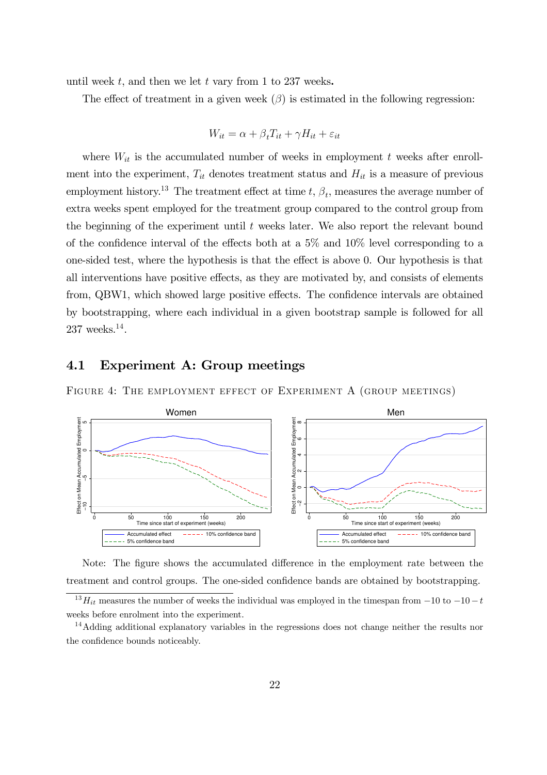until week  $t$ , and then we let  $t$  vary from 1 to 237 weeks.

The effect of treatment in a given week  $(\beta)$  is estimated in the following regression:

$$
W_{it} = \alpha + \beta_t T_{it} + \gamma H_{it} + \varepsilon_{it}
$$

where  $W_{it}$  is the accumulated number of weeks in employment t weeks after enrollment into the experiment,  $T_{it}$  denotes treatment status and  $H_{it}$  is a measure of previous employment history.<sup>13</sup> The treatment effect at time  $t, \beta_t$ , measures the average number of extra weeks spent employed for the treatment group compared to the control group from the beginning of the experiment until  $t$  weeks later. We also report the relevant bound of the confidence interval of the effects both at a 5% and 10% level corresponding to a one-sided test, where the hypothesis is that the effect is above 0. Our hypothesis is that all interventions have positive effects, as they are motivated by, and consists of elements from, QBW1, which showed large positive effects. The confidence intervals are obtained by bootstrapping, where each individual in a given bootstrap sample is followed for all  $237$  weeks.<sup>14</sup>.

#### 4.1 Experiment A: Group meetings

FIGURE 4: THE EMPLOYMENT EFFECT OF EXPERIMENT A (GROUP MEETINGS)



Note: The figure shows the accumulated difference in the employment rate between the treatment and control groups. The one-sided confidence bands are obtained by bootstrapping.

 $13H_{it}$  measures the number of weeks the individual was employed in the timespan from  $-10$  to  $-10-t$ weeks before enrolment into the experiment.

<sup>&</sup>lt;sup>14</sup>Adding additional explanatory variables in the regressions does not change neither the results nor the confidence bounds noticeably.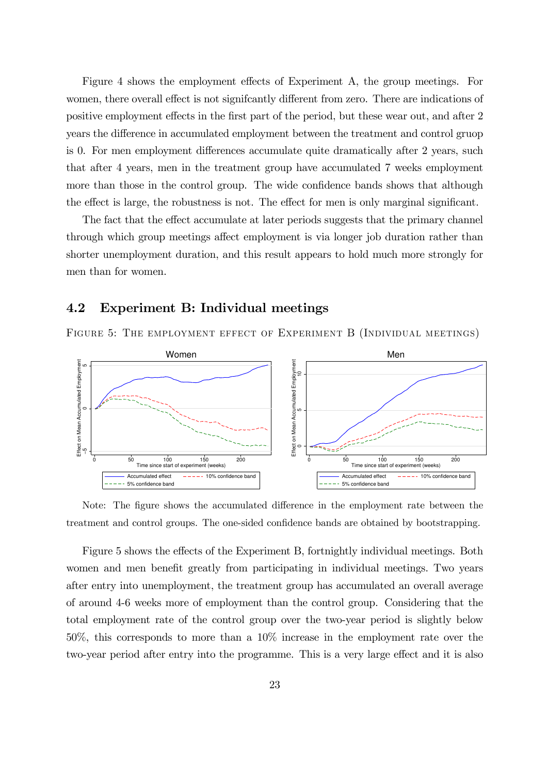Figure 4 shows the employment effects of Experiment A, the group meetings. For women, there overall effect is not signifcantly different from zero. There are indications of positive employment effects in the first part of the period, but these wear out, and after 2 years the difference in accumulated employment between the treatment and control gruop is 0. For men employment differences accumulate quite dramatically after 2 years, such that after 4 years, men in the treatment group have accumulated 7 weeks employment more than those in the control group. The wide confidence bands shows that although the effect is large, the robustness is not. The effect for men is only marginal significant.

The fact that the effect accumulate at later periods suggests that the primary channel through which group meetings affect employment is via longer job duration rather than shorter unemployment duration, and this result appears to hold much more strongly for men than for women.

#### 4.2 Experiment B: Individual meetings





Note: The figure shows the accumulated difference in the employment rate between the treatment and control groups. The one-sided confidence bands are obtained by bootstrapping.

Figure 5 shows the effects of the Experiment B, fortnightly individual meetings. Both women and men benefit greatly from participating in individual meetings. Two years after entry into unemployment, the treatment group has accumulated an overall average of around 4-6 weeks more of employment than the control group. Considering that the total employment rate of the control group over the two-year period is slightly below 50%, this corresponds to more than a 10% increase in the employment rate over the two-year period after entry into the programme. This is a very large effect and it is also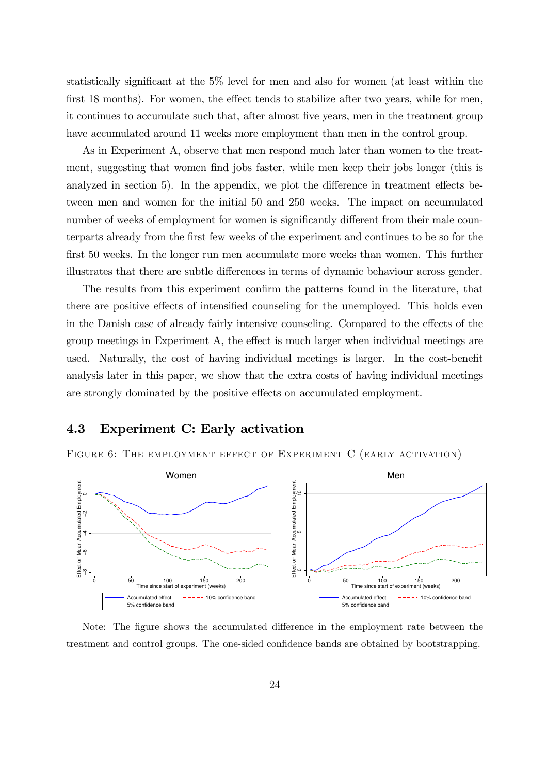statistically significant at the 5% level for men and also for women (at least within the first 18 months). For women, the effect tends to stabilize after two years, while for men, it continues to accumulate such that, after almost five years, men in the treatment group have accumulated around 11 weeks more employment than men in the control group.

As in Experiment A, observe that men respond much later than women to the treatment, suggesting that women find jobs faster, while men keep their jobs longer (this is analyzed in section 5). In the appendix, we plot the difference in treatment effects between men and women for the initial 50 and 250 weeks. The impact on accumulated number of weeks of employment for women is significantly different from their male counterparts already from the first few weeks of the experiment and continues to be so for the first 50 weeks. In the longer run men accumulate more weeks than women. This further illustrates that there are subtle differences in terms of dynamic behaviour across gender.

The results from this experiment confirm the patterns found in the literature, that there are positive effects of intensified counseling for the unemployed. This holds even in the Danish case of already fairly intensive counseling. Compared to the effects of the group meetings in Experiment A, the effect is much larger when individual meetings are used. Naturally, the cost of having individual meetings is larger. In the cost-benefit analysis later in this paper, we show that the extra costs of having individual meetings are strongly dominated by the positive effects on accumulated employment.

#### 4.3 Experiment C: Early activation

FIGURE 6: THE EMPLOYMENT EFFECT OF EXPERIMENT C (EARLY ACTIVATION)



Note: The figure shows the accumulated difference in the employment rate between the treatment and control groups. The one-sided confidence bands are obtained by bootstrapping.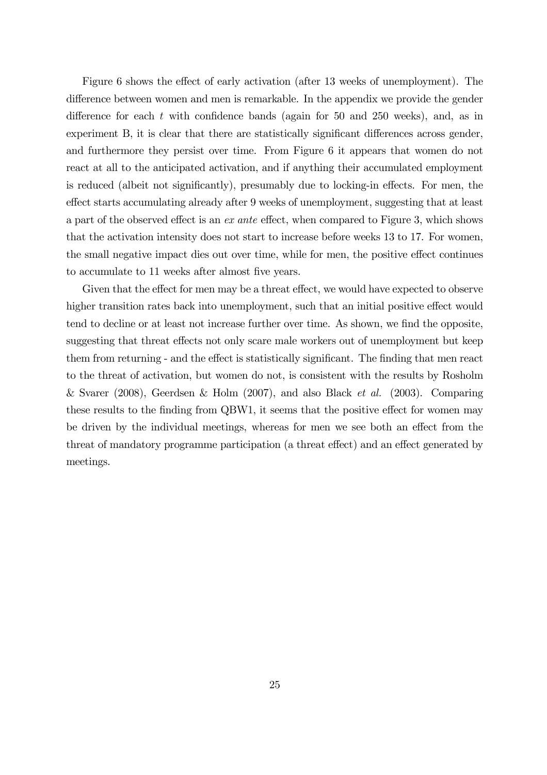Figure 6 shows the effect of early activation (after 13 weeks of unemployment). The difference between women and men is remarkable. In the appendix we provide the gender difference for each  $t$  with confidence bands (again for 50 and 250 weeks), and, as in experiment B, it is clear that there are statistically significant differences across gender, and furthermore they persist over time. From Figure 6 it appears that women do not react at all to the anticipated activation, and if anything their accumulated employment is reduced (albeit not significantly), presumably due to locking-in effects. For men, the effect starts accumulating already after 9 weeks of unemployment, suggesting that at least a part of the observed effect is an ex ante effect, when compared to Figure 3, which shows that the activation intensity does not start to increase before weeks 13 to 17. For women, the small negative impact dies out over time, while for men, the positive effect continues to accumulate to 11 weeks after almost five years.

Given that the effect for men may be a threat effect, we would have expected to observe higher transition rates back into unemployment, such that an initial positive effect would tend to decline or at least not increase further over time. As shown, we find the opposite, suggesting that threat effects not only scare male workers out of unemployment but keep them from returning - and the effect is statistically significant. The finding that men react to the threat of activation, but women do not, is consistent with the results by Rosholm & Svarer (2008), Geerdsen & Holm (2007), and also Black *et al.* (2003). Comparing these results to the finding from QBW1, it seems that the positive effect for women may be driven by the individual meetings, whereas for men we see both an effect from the threat of mandatory programme participation (a threat effect) and an effect generated by meetings.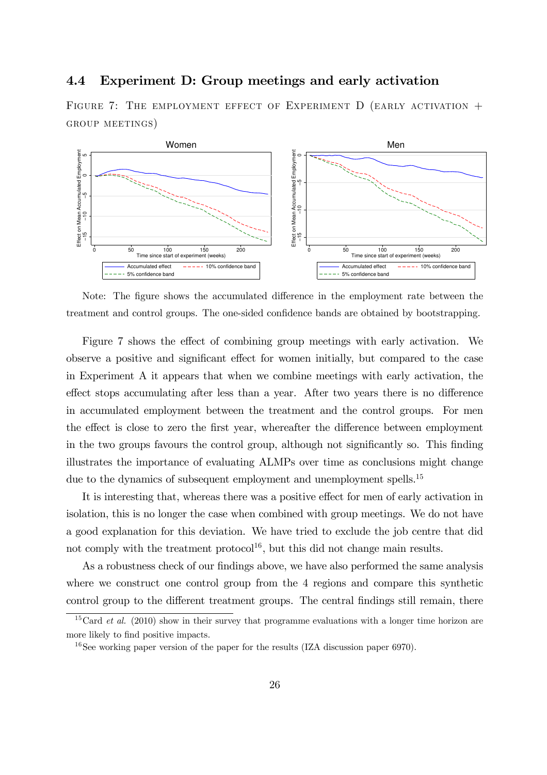#### 4.4 Experiment D: Group meetings and early activation

FIGURE 7: THE EMPLOYMENT EFFECT OF EXPERIMENT  $D$  (EARLY ACTIVATION + GROUP MEETINGS)



Note: The figure shows the accumulated difference in the employment rate between the treatment and control groups. The one-sided confidence bands are obtained by bootstrapping.

Figure 7 shows the effect of combining group meetings with early activation. We observe a positive and significant effect for women initially, but compared to the case in Experiment A it appears that when we combine meetings with early activation, the effect stops accumulating after less than a year. After two years there is no difference in accumulated employment between the treatment and the control groups. For men the effect is close to zero the first year, whereafter the difference between employment in the two groups favours the control group, although not significantly so. This finding illustrates the importance of evaluating ALMPs over time as conclusions might change due to the dynamics of subsequent employment and unemployment spells.<sup>15</sup>

It is interesting that, whereas there was a positive effect for men of early activation in isolation, this is no longer the case when combined with group meetings. We do not have a good explanation for this deviation. We have tried to exclude the job centre that did not comply with the treatment protocol<sup>16</sup>, but this did not change main results.

As a robustness check of our findings above, we have also performed the same analysis where we construct one control group from the 4 regions and compare this synthetic control group to the different treatment groups. The central findings still remain, there

<sup>&</sup>lt;sup>15</sup>Card *et al.* (2010) show in their survey that programme evaluations with a longer time horizon are more likely to find positive impacts.

<sup>&</sup>lt;sup>16</sup>See working paper version of the paper for the results (IZA discussion paper 6970).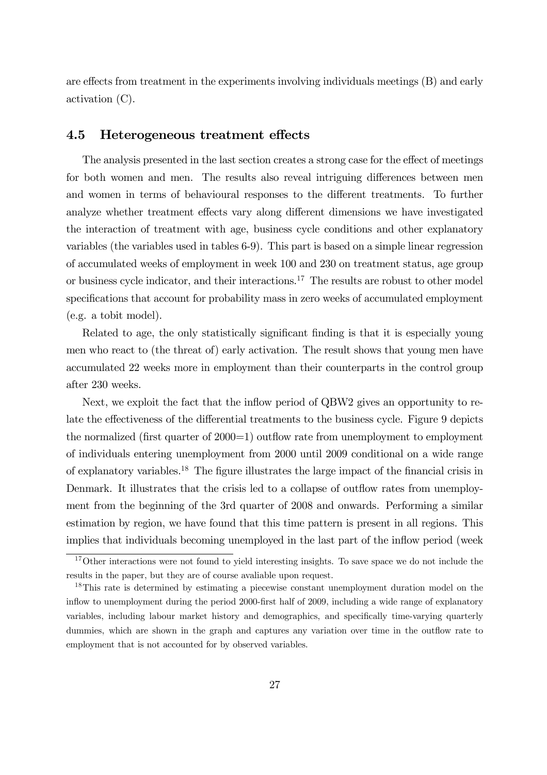are effects from treatment in the experiments involving individuals meetings (B) and early activation (C).

#### 4.5 Heterogeneous treatment effects

The analysis presented in the last section creates a strong case for the effect of meetings for both women and men. The results also reveal intriguing differences between men and women in terms of behavioural responses to the different treatments. To further analyze whether treatment effects vary along different dimensions we have investigated the interaction of treatment with age, business cycle conditions and other explanatory variables (the variables used in tables 6-9). This part is based on a simple linear regression of accumulated weeks of employment in week 100 and 230 on treatment status, age group or business cycle indicator, and their interactions.<sup>17</sup> The results are robust to other model specifications that account for probability mass in zero weeks of accumulated employment (e.g. a tobit model).

Related to age, the only statistically significant finding is that it is especially young men who react to (the threat of) early activation. The result shows that young men have accumulated 22 weeks more in employment than their counterparts in the control group after 230 weeks.

Next, we exploit the fact that the inflow period of QBW2 gives an opportunity to relate the effectiveness of the differential treatments to the business cycle. Figure 9 depicts the normalized (first quarter of 2000=1) outflow rate from unemployment to employment of individuals entering unemployment from 2000 until 2009 conditional on a wide range of explanatory variables.<sup>18</sup> The figure illustrates the large impact of the financial crisis in Denmark. It illustrates that the crisis led to a collapse of outflow rates from unemployment from the beginning of the 3rd quarter of 2008 and onwards. Performing a similar estimation by region, we have found that this time pattern is present in all regions. This implies that individuals becoming unemployed in the last part of the inflow period (week

<sup>&</sup>lt;sup>17</sup>Other interactions were not found to yield interesting insights. To save space we do not include the results in the paper, but they are of course avaliable upon request.

<sup>&</sup>lt;sup>18</sup>This rate is determined by estimating a piecewise constant unemployment duration model on the inflow to unemployment during the period 2000-first half of 2009, including a wide range of explanatory variables, including labour market history and demographics, and specifically time-varying quarterly dummies, which are shown in the graph and captures any variation over time in the outflow rate to employment that is not accounted for by observed variables.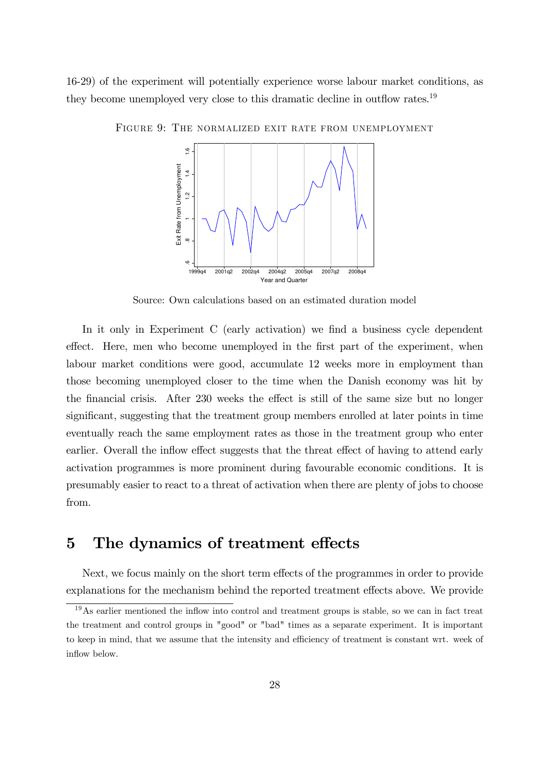16-29) of the experiment will potentially experience worse labour market conditions, as they become unemployed very close to this dramatic decline in outflow rates.<sup>19</sup>



FIGURE 9: THE NORMALIZED EXIT RATE FROM UNEMPLOYMENT

Source: Own calculations based on an estimated duration model

In it only in Experiment C (early activation) we find a business cycle dependent effect. Here, men who become unemployed in the first part of the experiment, when labour market conditions were good, accumulate 12 weeks more in employment than those becoming unemployed closer to the time when the Danish economy was hit by the financial crisis. After 230 weeks the effect is still of the same size but no longer significant, suggesting that the treatment group members enrolled at later points in time eventually reach the same employment rates as those in the treatment group who enter earlier. Overall the inflow effect suggests that the threat effect of having to attend early activation programmes is more prominent during favourable economic conditions. It is presumably easier to react to a threat of activation when there are plenty of jobs to choose from.

## 5 The dynamics of treatment effects

Next, we focus mainly on the short term effects of the programmes in order to provide explanations for the mechanism behind the reported treatment effects above. We provide

<sup>&</sup>lt;sup>19</sup>As earlier mentioned the inflow into control and treatment groups is stable, so we can in fact treat the treatment and control groups in "good" or "bad" times as a separate experiment. It is important to keep in mind, that we assume that the intensity and efficiency of treatment is constant wrt. week of inflow below.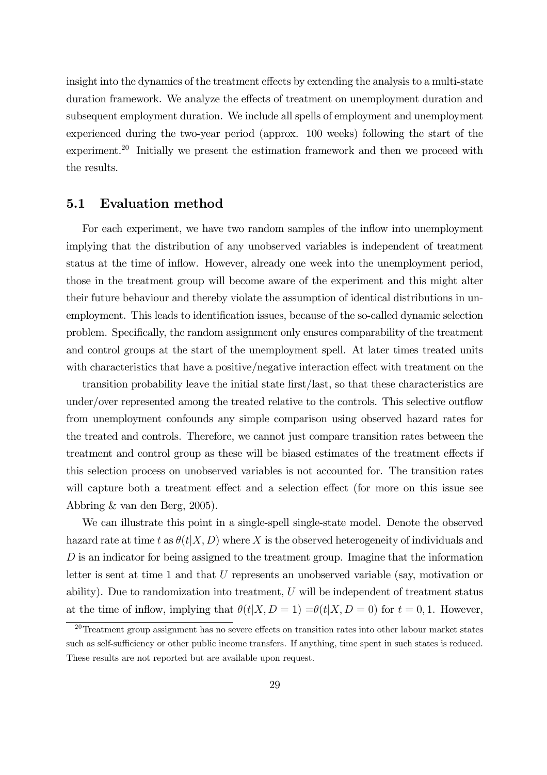insight into the dynamics of the treatment effects by extending the analysis to a multi-state duration framework. We analyze the effects of treatment on unemployment duration and subsequent employment duration. We include all spells of employment and unemployment experienced during the two-year period (approx. 100 weeks) following the start of the experiment.<sup>20</sup> Initially we present the estimation framework and then we proceed with the results.

#### 5.1 Evaluation method

For each experiment, we have two random samples of the inflow into unemployment implying that the distribution of any unobserved variables is independent of treatment status at the time of inflow. However, already one week into the unemployment period, those in the treatment group will become aware of the experiment and this might alter their future behaviour and thereby violate the assumption of identical distributions in unemployment. This leads to identification issues, because of the so-called dynamic selection problem. Specifically, the random assignment only ensures comparability of the treatment and control groups at the start of the unemployment spell. At later times treated units with characteristics that have a positive/negative interaction effect with treatment on the

transition probability leave the initial state first/last, so that these characteristics are under/over represented among the treated relative to the controls. This selective outflow from unemployment confounds any simple comparison using observed hazard rates for the treated and controls. Therefore, we cannot just compare transition rates between the treatment and control group as these will be biased estimates of the treatment effects if this selection process on unobserved variables is not accounted for. The transition rates will capture both a treatment effect and a selection effect (for more on this issue see Abbring & van den Berg, 2005).

We can illustrate this point in a single-spell single-state model. Denote the observed hazard rate at time t as  $\theta(t|X, D)$  where X is the observed heterogeneity of individuals and  $D$  is an indicator for being assigned to the treatment group. Imagine that the information letter is sent at time 1 and that U represents an unobserved variable (say, motivation or ability). Due to randomization into treatment,  $U$  will be independent of treatment status at the time of inflow, implying that  $\theta(t|X, D = 1) = \theta(t|X, D = 0)$  for  $t = 0, 1$ . However,

 $20$ Treatment group assignment has no severe effects on transition rates into other labour market states such as self-sufficiency or other public income transfers. If anything, time spent in such states is reduced. These results are not reported but are available upon request.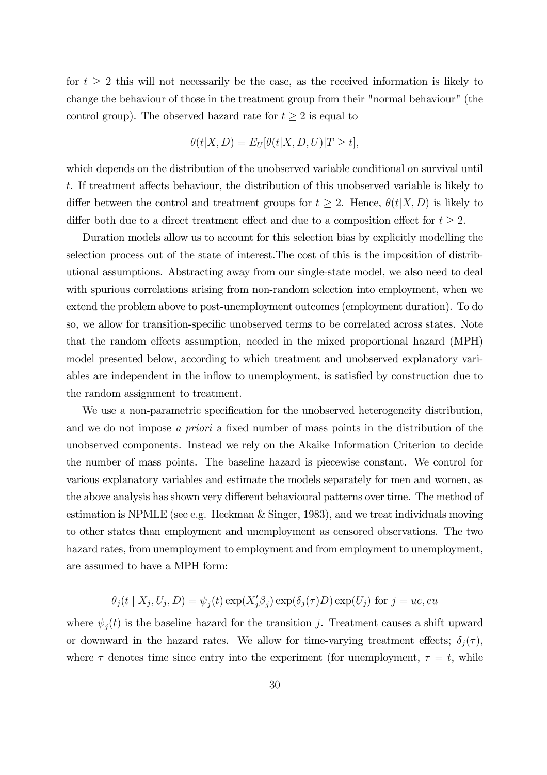for  $t \geq 2$  this will not necessarily be the case, as the received information is likely to change the behaviour of those in the treatment group from their "normal behaviour" (the control group). The observed hazard rate for  $t \geq 2$  is equal to

$$
\theta(t|X,D) = E_U[\theta(t|X,D,U)|T \ge t],
$$

which depends on the distribution of the unobserved variable conditional on survival until t. If treatment affects behaviour, the distribution of this unobserved variable is likely to differ between the control and treatment groups for  $t \geq 2$ . Hence,  $\theta(t|X,D)$  is likely to differ both due to a direct treatment effect and due to a composition effect for  $t \geq 2$ .

Duration models allow us to account for this selection bias by explicitly modelling the selection process out of the state of interest.The cost of this is the imposition of distributional assumptions. Abstracting away from our single-state model, we also need to deal with spurious correlations arising from non-random selection into employment, when we extend the problem above to post-unemployment outcomes (employment duration). To do so, we allow for transition-specific unobserved terms to be correlated across states. Note that the random effects assumption, needed in the mixed proportional hazard (MPH) model presented below, according to which treatment and unobserved explanatory variables are independent in the inflow to unemployment, is satisfied by construction due to the random assignment to treatment.

We use a non-parametric specification for the unobserved heterogeneity distribution, and we do not impose a priori a fixed number of mass points in the distribution of the unobserved components. Instead we rely on the Akaike Information Criterion to decide the number of mass points. The baseline hazard is piecewise constant. We control for various explanatory variables and estimate the models separately for men and women, as the above analysis has shown very different behavioural patterns over time. The method of estimation is NPMLE (see e.g. Heckman & Singer, 1983), and we treat individuals moving to other states than employment and unemployment as censored observations. The two hazard rates, from unemployment to employment and from employment to unemployment, are assumed to have a MPH form:

$$
\theta_j(t | X_j, U_j, D) = \psi_j(t) \exp(X'_j \beta_j) \exp(\delta_j(\tau) D) \exp(U_j)
$$
 for  $j = ue, eu$ 

where  $\psi_j(t)$  is the baseline hazard for the transition j. Treatment causes a shift upward or downward in the hazard rates. We allow for time-varying treatment effects;  $\delta_j(\tau)$ , where  $\tau$  denotes time since entry into the experiment (for unemployment,  $\tau = t$ , while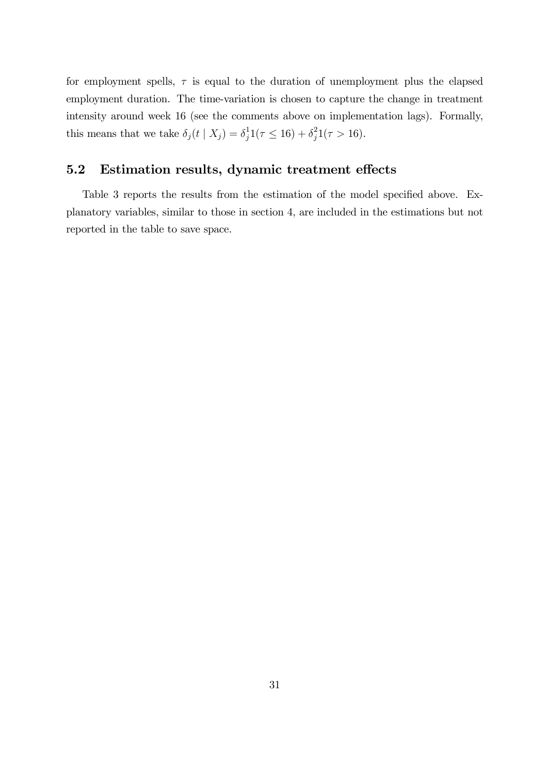for employment spells,  $\tau$  is equal to the duration of unemployment plus the elapsed employment duration. The time-variation is chosen to capture the change in treatment intensity around week 16 (see the comments above on implementation lags). Formally, this means that we take  $\delta_j(t | X_j) = \delta_j^1$  $j^1(7 \le 16) + \delta_j^2$  $j^2(7 > 16)$ .

#### 5.2 Estimation results, dynamic treatment effects

Table 3 reports the results from the estimation of the model specified above. Explanatory variables, similar to those in section 4, are included in the estimations but not reported in the table to save space.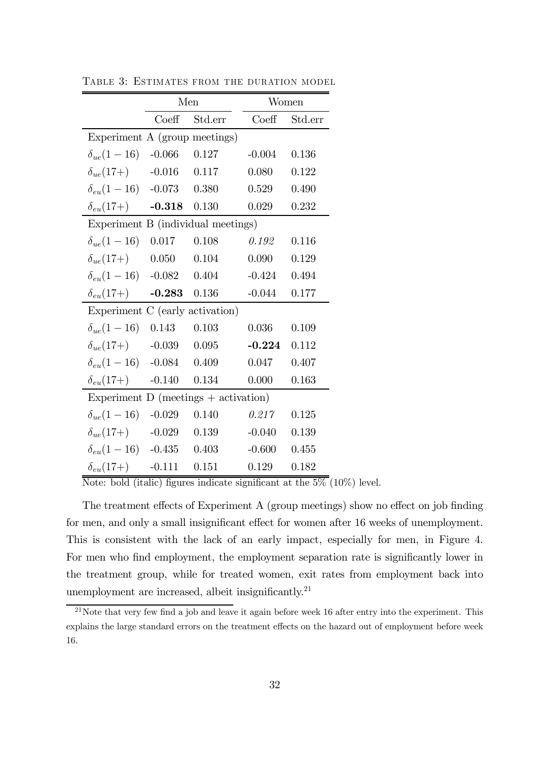|                                          | Men      |           |          | Women   |  |  |  |
|------------------------------------------|----------|-----------|----------|---------|--|--|--|
|                                          | Coeff    | Std.err   | Coeff    | Std.err |  |  |  |
| Experiment A (group meetings)            |          |           |          |         |  |  |  |
| $\delta_{ue}(1-16)$ -0.066               |          | 0.127     | $-0.004$ | 0.136   |  |  |  |
| $\delta_{ue}(17+)$                       | $-0.016$ | $0.117\,$ | 0.080    | 0.122   |  |  |  |
| $\delta_{eu}(1-16)$ -0.073               |          | 0.380     | 0.529    | 0.490   |  |  |  |
| $\delta_{eu}(17+)$ -0.318 0.130          |          |           | 0.029    | 0.232   |  |  |  |
| Experiment B (individual meetings)       |          |           |          |         |  |  |  |
| $\delta_{ue}(1-16)$                      | 0.017    | 0.108     | 0.192    | 0.116   |  |  |  |
| $\delta_{ue}(17+)$                       | 0.050    | $0.104\,$ | 0.090    | 0.129   |  |  |  |
| $\delta_{eu}(1-16)$ -0.082 0.404         |          |           | $-0.424$ | 0.494   |  |  |  |
| $\delta_{eu}(17+)$ -0.283 0.136          |          |           | $-0.044$ | 0.177   |  |  |  |
| Experiment C (early activation)          |          |           |          |         |  |  |  |
| $\delta_{ue}(1-16)$                      | 0.143    | 0.103     | 0.036    | 0.109   |  |  |  |
| $\delta_{ue}(17+)$                       | $-0.039$ | $0.095\,$ | $-0.224$ | 0.112   |  |  |  |
| $\delta_{eu}(1-16)$                      | $-0.084$ | 0.409     | 0.047    | 0.407   |  |  |  |
| $\delta_{eu}(17+)$                       | $-0.140$ | 0.134     | 0.000    | 0.163   |  |  |  |
| Experiment $D$ (meetings $+$ activation) |          |           |          |         |  |  |  |
| $\delta_{ue}(1-16)$ -0.029               |          | 0.140     | 0.217    | 0.125   |  |  |  |
| $\delta_{ue}(17+)$                       | $-0.029$ | 0.139     | $-0.040$ | 0.139   |  |  |  |
| $\delta_{eu}(1-16)$ -0.435               |          | 0.403     | $-0.600$ | 0.455   |  |  |  |
| $\delta_{eu}(17+)$                       | $-0.111$ | 0.151     | 0.129    | 0.182   |  |  |  |

TABLE 3: ESTIMATES FROM THE DURATION MODEL

Note: bold (italic) figures indicate significant at the  $5\%$  (10%) level.

The treatment effects of Experiment A (group meetings) show no effect on job finding for men, and only a small insignificant effect for women after 16 weeks of unemployment. This is consistent with the lack of an early impact, especially for men, in Figure 4. For men who find employment, the employment separation rate is significantly lower in the treatment group, while for treated women, exit rates from employment back into unemployment are increased, albeit insignificantly.<sup>21</sup>

<sup>&</sup>lt;sup>21</sup>Note that very few find a job and leave it again before week 16 after entry into the experiment. This explains the large standard errors on the treatment effects on the hazard out of employment before week 16.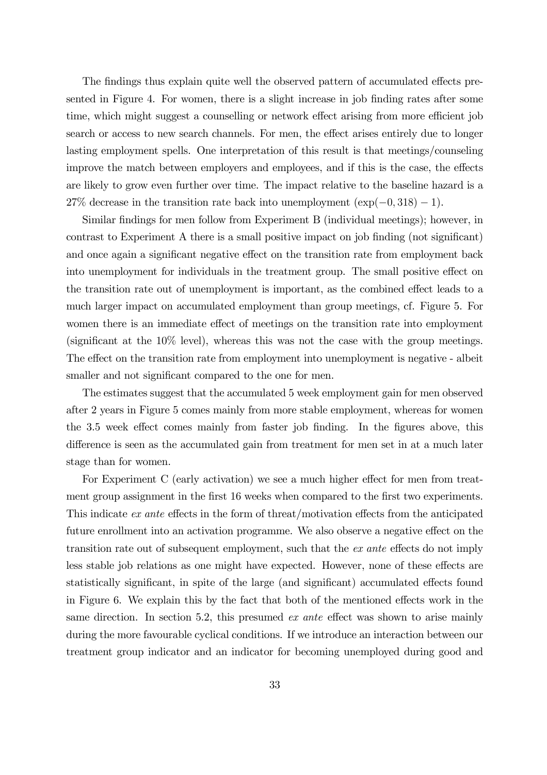The findings thus explain quite well the observed pattern of accumulated effects presented in Figure 4. For women, there is a slight increase in job finding rates after some time, which might suggest a counselling or network effect arising from more efficient job search or access to new search channels. For men, the effect arises entirely due to longer lasting employment spells. One interpretation of this result is that meetings/counseling improve the match between employers and employees, and if this is the case, the effects are likely to grow even further over time. The impact relative to the baseline hazard is a 27% decrease in the transition rate back into unemployment  $(exp(-0, 318) - 1)$ .

Similar findings for men follow from Experiment B (individual meetings); however, in contrast to Experiment A there is a small positive impact on job finding (not significant) and once again a significant negative effect on the transition rate from employment back into unemployment for individuals in the treatment group. The small positive effect on the transition rate out of unemployment is important, as the combined effect leads to a much larger impact on accumulated employment than group meetings, cf. Figure 5. For women there is an immediate effect of meetings on the transition rate into employment (significant at the 10% level), whereas this was not the case with the group meetings. The effect on the transition rate from employment into unemployment is negative - albeit smaller and not significant compared to the one for men.

The estimates suggest that the accumulated 5 week employment gain for men observed after 2 years in Figure 5 comes mainly from more stable employment, whereas for women the 3.5 week effect comes mainly from faster job finding. In the figures above, this difference is seen as the accumulated gain from treatment for men set in at a much later stage than for women.

For Experiment C (early activation) we see a much higher effect for men from treatment group assignment in the first 16 weeks when compared to the first two experiments. This indicate ex ante effects in the form of threat/motivation effects from the anticipated future enrollment into an activation programme. We also observe a negative effect on the transition rate out of subsequent employment, such that the ex ante effects do not imply less stable job relations as one might have expected. However, none of these effects are statistically significant, in spite of the large (and significant) accumulated effects found in Figure 6. We explain this by the fact that both of the mentioned effects work in the same direction. In section 5.2, this presumed *ex ante* effect was shown to arise mainly during the more favourable cyclical conditions. If we introduce an interaction between our treatment group indicator and an indicator for becoming unemployed during good and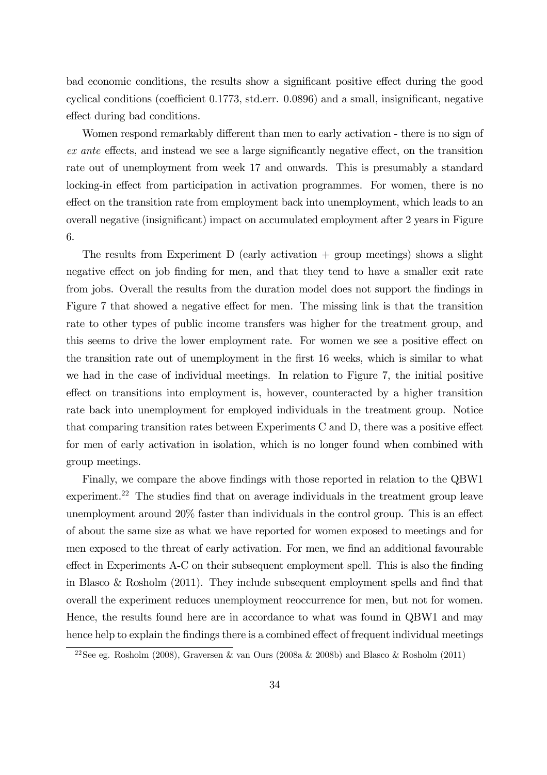bad economic conditions, the results show a significant positive effect during the good cyclical conditions (coefficient 0.1773, std.err. 0.0896) and a small, insignificant, negative effect during bad conditions.

Women respond remarkably different than men to early activation - there is no sign of ex ante effects, and instead we see a large significantly negative effect, on the transition rate out of unemployment from week 17 and onwards. This is presumably a standard locking-in effect from participation in activation programmes. For women, there is no effect on the transition rate from employment back into unemployment, which leads to an overall negative (insignificant) impact on accumulated employment after 2 years in Figure 6.

The results from Experiment D (early activation + group meetings) shows a slight negative effect on job finding for men, and that they tend to have a smaller exit rate from jobs. Overall the results from the duration model does not support the findings in Figure 7 that showed a negative effect for men. The missing link is that the transition rate to other types of public income transfers was higher for the treatment group, and this seems to drive the lower employment rate. For women we see a positive effect on the transition rate out of unemployment in the first 16 weeks, which is similar to what we had in the case of individual meetings. In relation to Figure 7, the initial positive effect on transitions into employment is, however, counteracted by a higher transition rate back into unemployment for employed individuals in the treatment group. Notice that comparing transition rates between Experiments C and D, there was a positive effect for men of early activation in isolation, which is no longer found when combined with group meetings.

Finally, we compare the above findings with those reported in relation to the QBW1 experiment.<sup>22</sup> The studies find that on average individuals in the treatment group leave unemployment around 20% faster than individuals in the control group. This is an effect of about the same size as what we have reported for women exposed to meetings and for men exposed to the threat of early activation. For men, we find an additional favourable effect in Experiments A-C on their subsequent employment spell. This is also the finding in Blasco & Rosholm (2011). They include subsequent employment spells and find that overall the experiment reduces unemployment reoccurrence for men, but not for women. Hence, the results found here are in accordance to what was found in QBW1 and may hence help to explain the findings there is a combined effect of frequent individual meetings

<sup>&</sup>lt;sup>22</sup>See eg. Rosholm (2008), Graversen & van Ours (2008a & 2008b) and Blasco & Rosholm (2011)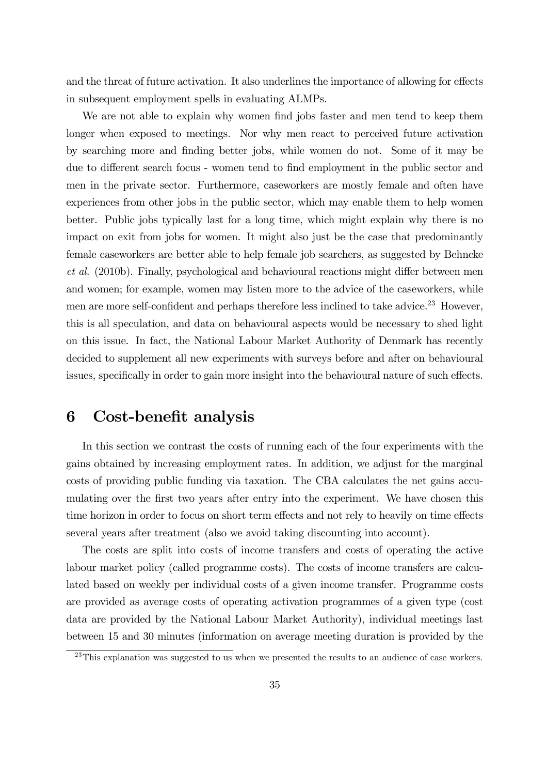and the threat of future activation. It also underlines the importance of allowing for effects in subsequent employment spells in evaluating ALMPs.

We are not able to explain why women find jobs faster and men tend to keep them longer when exposed to meetings. Nor why men react to perceived future activation by searching more and finding better jobs, while women do not. Some of it may be due to different search focus - women tend to find employment in the public sector and men in the private sector. Furthermore, caseworkers are mostly female and often have experiences from other jobs in the public sector, which may enable them to help women better. Public jobs typically last for a long time, which might explain why there is no impact on exit from jobs for women. It might also just be the case that predominantly female caseworkers are better able to help female job searchers, as suggested by Behncke et al. (2010b). Finally, psychological and behavioural reactions might differ between men and women; for example, women may listen more to the advice of the caseworkers, while men are more self-confident and perhaps therefore less inclined to take advice.<sup>23</sup> However, this is all speculation, and data on behavioural aspects would be necessary to shed light on this issue. In fact, the National Labour Market Authority of Denmark has recently decided to supplement all new experiments with surveys before and after on behavioural issues, specifically in order to gain more insight into the behavioural nature of such effects.

### 6 Cost-benefit analysis

In this section we contrast the costs of running each of the four experiments with the gains obtained by increasing employment rates. In addition, we adjust for the marginal costs of providing public funding via taxation. The CBA calculates the net gains accumulating over the first two years after entry into the experiment. We have chosen this time horizon in order to focus on short term effects and not rely to heavily on time effects several years after treatment (also we avoid taking discounting into account).

The costs are split into costs of income transfers and costs of operating the active labour market policy (called programme costs). The costs of income transfers are calculated based on weekly per individual costs of a given income transfer. Programme costs are provided as average costs of operating activation programmes of a given type (cost data are provided by the National Labour Market Authority), individual meetings last between 15 and 30 minutes (information on average meeting duration is provided by the

 $^{23}$ This explanation was suggested to us when we presented the results to an audience of case workers.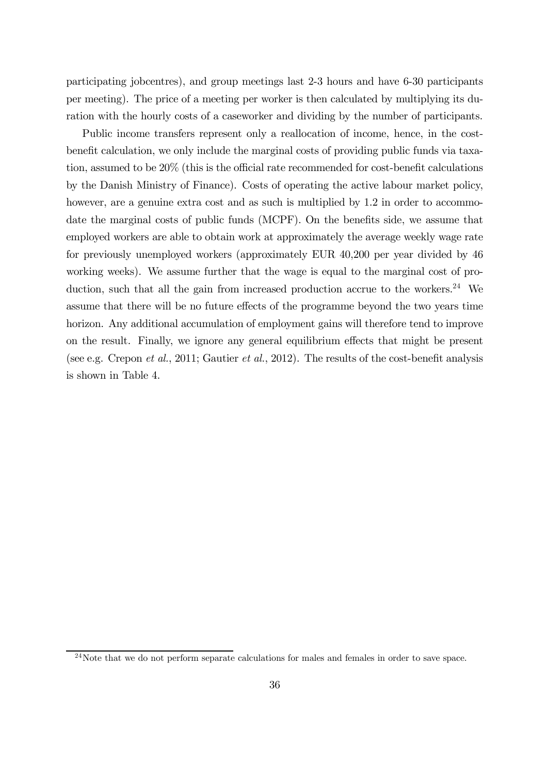participating jobcentres), and group meetings last 2-3 hours and have 6-30 participants per meeting). The price of a meeting per worker is then calculated by multiplying its duration with the hourly costs of a caseworker and dividing by the number of participants.

Public income transfers represent only a reallocation of income, hence, in the costbenefit calculation, we only include the marginal costs of providing public funds via taxation, assumed to be 20% (this is the official rate recommended for cost-benefit calculations by the Danish Ministry of Finance). Costs of operating the active labour market policy, however, are a genuine extra cost and as such is multiplied by 1.2 in order to accommodate the marginal costs of public funds (MCPF). On the benefits side, we assume that employed workers are able to obtain work at approximately the average weekly wage rate for previously unemployed workers (approximately EUR 40,200 per year divided by 46 working weeks). We assume further that the wage is equal to the marginal cost of production, such that all the gain from increased production accrue to the workers.<sup>24</sup> We assume that there will be no future effects of the programme beyond the two years time horizon. Any additional accumulation of employment gains will therefore tend to improve on the result. Finally, we ignore any general equilibrium effects that might be present (see e.g. Crepon *et al.*, 2011; Gautier *et al.*, 2012). The results of the cost-benefit analysis is shown in Table 4.

<sup>&</sup>lt;sup>24</sup>Note that we do not perform separate calculations for males and females in order to save space.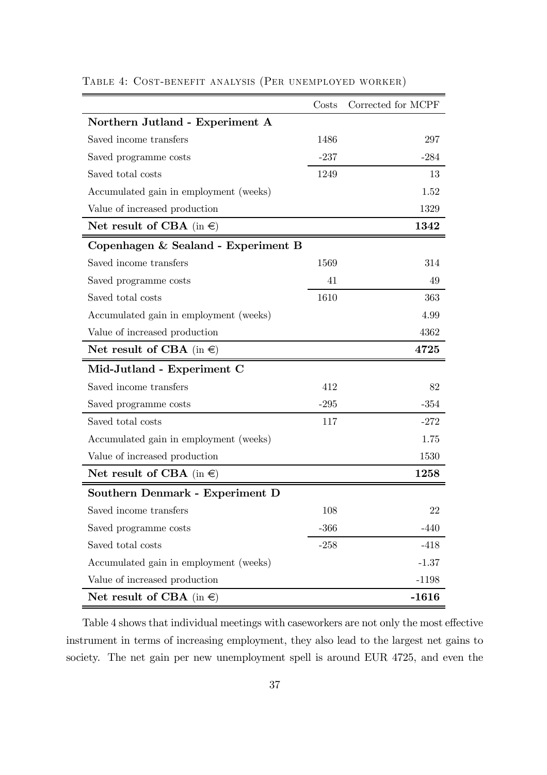|                                        | Costs  | Corrected for MCPF |
|----------------------------------------|--------|--------------------|
| Northern Jutland - Experiment A        |        |                    |
| Saved income transfers                 | 1486   | 297                |
| Saved programme costs                  | $-237$ | $-284$             |
| Saved total costs                      | 1249   | 13                 |
| Accumulated gain in employment (weeks) |        | 1.52               |
| Value of increased production          |        | 1329               |
| Net result of CBA (in $\in$ )          |        | 1342               |
| Copenhagen & Sealand - Experiment B    |        |                    |
| Saved income transfers                 | 1569   | 314                |
| Saved programme costs                  | 41     | 49                 |
| Saved total costs                      | 1610   | 363                |
| Accumulated gain in employment (weeks) |        | 4.99               |
| Value of increased production          |        | 4362               |
| Net result of CBA (in $\in$ )          |        | 4725               |
| Mid-Jutland - Experiment C             |        |                    |
| Saved income transfers                 | 412    | 82                 |
| Saved programme costs                  | $-295$ | $-354$             |
| Saved total costs                      | 117    | $-272$             |
| Accumulated gain in employment (weeks) |        | 1.75               |
| Value of increased production          |        | 1530               |
| Net result of CBA (in $\in$ )          |        | 1258               |
| Southern Denmark - Experiment D        |        |                    |
| Saved income transfers                 | 108    | 22                 |
| Saved programme costs                  | $-366$ | $-440$             |
| Saved total costs                      | $-258$ | $-418$             |
| Accumulated gain in employment (weeks) |        | $-1.37$            |
| Value of increased production          |        | $-1198$            |
| Net result of CBA (in $\in$ )          |        | $-1616$            |

#### TABLE 4: COST-BENEFIT ANALYSIS (PER UNEMPLOYED WORKER)

Table 4 shows that individual meetings with caseworkers are not only the most effective instrument in terms of increasing employment, they also lead to the largest net gains to society. The net gain per new unemployment spell is around EUR 4725, and even the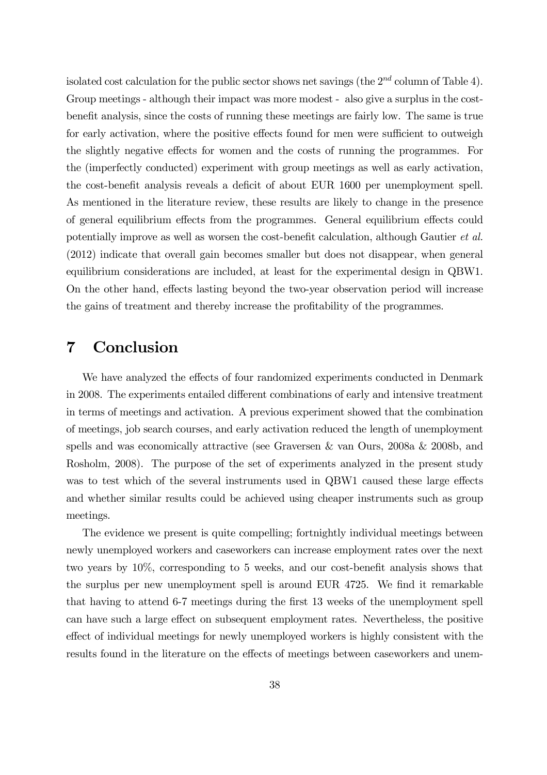isolated cost calculation for the public sector shows net savings (the  $2^{nd}$  column of Table 4). Group meetings - although their impact was more modest - also give a surplus in the costbenefit analysis, since the costs of running these meetings are fairly low. The same is true for early activation, where the positive effects found for men were sufficient to outweigh the slightly negative effects for women and the costs of running the programmes. For the (imperfectly conducted) experiment with group meetings as well as early activation, the cost-benefit analysis reveals a deficit of about EUR 1600 per unemployment spell. As mentioned in the literature review, these results are likely to change in the presence of general equilibrium effects from the programmes. General equilibrium effects could potentially improve as well as worsen the cost-benefit calculation, although Gautier et al. (2012) indicate that overall gain becomes smaller but does not disappear, when general equilibrium considerations are included, at least for the experimental design in QBW1. On the other hand, effects lasting beyond the two-year observation period will increase the gains of treatment and thereby increase the profitability of the programmes.

## 7 Conclusion

We have analyzed the effects of four randomized experiments conducted in Denmark in 2008. The experiments entailed different combinations of early and intensive treatment in terms of meetings and activation. A previous experiment showed that the combination of meetings, job search courses, and early activation reduced the length of unemployment spells and was economically attractive (see Graversen & van Ours, 2008a & 2008b, and Rosholm, 2008). The purpose of the set of experiments analyzed in the present study was to test which of the several instruments used in QBW1 caused these large effects and whether similar results could be achieved using cheaper instruments such as group meetings.

The evidence we present is quite compelling; fortnightly individual meetings between newly unemployed workers and caseworkers can increase employment rates over the next two years by 10%, corresponding to 5 weeks, and our cost-benefit analysis shows that the surplus per new unemployment spell is around EUR 4725. We find it remarkable that having to attend 6-7 meetings during the first 13 weeks of the unemployment spell can have such a large effect on subsequent employment rates. Nevertheless, the positive effect of individual meetings for newly unemployed workers is highly consistent with the results found in the literature on the effects of meetings between caseworkers and unem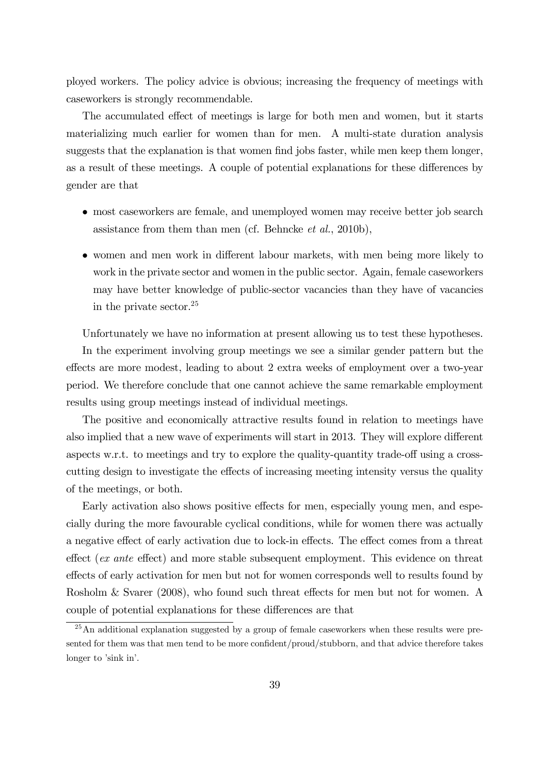ployed workers. The policy advice is obvious; increasing the frequency of meetings with caseworkers is strongly recommendable.

The accumulated effect of meetings is large for both men and women, but it starts materializing much earlier for women than for men. A multi-state duration analysis suggests that the explanation is that women find jobs faster, while men keep them longer, as a result of these meetings. A couple of potential explanations for these differences by gender are that

- most caseworkers are female, and unemployed women may receive better job search assistance from them than men (cf. Behncke et al., 2010b),
- women and men work in different labour markets, with men being more likely to work in the private sector and women in the public sector. Again, female caseworkers may have better knowledge of public-sector vacancies than they have of vacancies in the private sector.<sup>25</sup>

Unfortunately we have no information at present allowing us to test these hypotheses.

In the experiment involving group meetings we see a similar gender pattern but the effects are more modest, leading to about 2 extra weeks of employment over a two-year period. We therefore conclude that one cannot achieve the same remarkable employment results using group meetings instead of individual meetings.

The positive and economically attractive results found in relation to meetings have also implied that a new wave of experiments will start in 2013. They will explore different aspects w.r.t. to meetings and try to explore the quality-quantity trade-off using a crosscutting design to investigate the effects of increasing meeting intensity versus the quality of the meetings, or both.

Early activation also shows positive effects for men, especially young men, and especially during the more favourable cyclical conditions, while for women there was actually a negative effect of early activation due to lock-in effects. The effect comes from a threat effect (ex ante effect) and more stable subsequent employment. This evidence on threat effects of early activation for men but not for women corresponds well to results found by Rosholm & Svarer (2008), who found such threat effects for men but not for women. A couple of potential explanations for these differences are that

 $^{25}$ An additional explanation suggested by a group of female caseworkers when these results were presented for them was that men tend to be more confident/proud/stubborn, and that advice therefore takes longer to 'sink in'.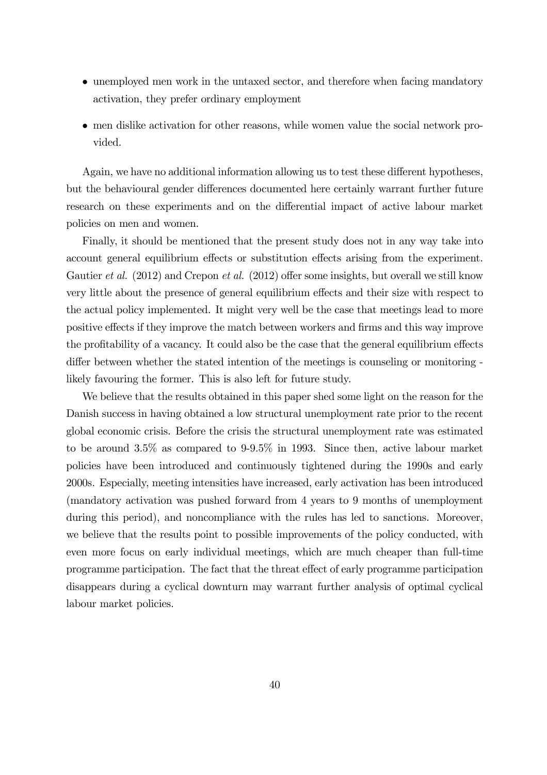- unemployed men work in the untaxed sector, and therefore when facing mandatory activation, they prefer ordinary employment
- men dislike activation for other reasons, while women value the social network provided.

Again, we have no additional information allowing us to test these different hypotheses, but the behavioural gender differences documented here certainly warrant further future research on these experiments and on the differential impact of active labour market policies on men and women.

Finally, it should be mentioned that the present study does not in any way take into account general equilibrium effects or substitution effects arising from the experiment. Gautier *et al.* (2012) and Crepon *et al.* (2012) offer some insights, but overall we still know very little about the presence of general equilibrium effects and their size with respect to the actual policy implemented. It might very well be the case that meetings lead to more positive effects if they improve the match between workers and firms and this way improve the profitability of a vacancy. It could also be the case that the general equilibrium effects differ between whether the stated intention of the meetings is counseling or monitoring likely favouring the former. This is also left for future study.

We believe that the results obtained in this paper shed some light on the reason for the Danish success in having obtained a low structural unemployment rate prior to the recent global economic crisis. Before the crisis the structural unemployment rate was estimated to be around 3.5% as compared to 9-9.5% in 1993. Since then, active labour market policies have been introduced and continuously tightened during the 1990s and early 2000s. Especially, meeting intensities have increased, early activation has been introduced (mandatory activation was pushed forward from 4 years to 9 months of unemployment during this period), and noncompliance with the rules has led to sanctions. Moreover, we believe that the results point to possible improvements of the policy conducted, with even more focus on early individual meetings, which are much cheaper than full-time programme participation. The fact that the threat effect of early programme participation disappears during a cyclical downturn may warrant further analysis of optimal cyclical labour market policies.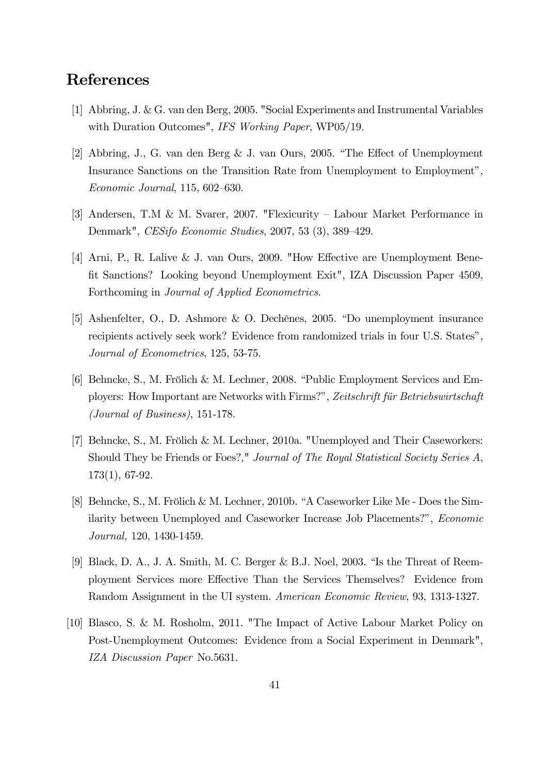## References

- [1] Abbring, J. & G. van den Berg, 2005. "Social Experiments and Instrumental Variables with Duration Outcomes", IFS Working Paper, WP05/19.
- [2] Abbring, J., G. van den Berg & J. van Ours, 2005. "The Effect of Unemployment Insurance Sanctions on the Transition Rate from Unemployment to Employment", Economic Journal, 115, 602—630.
- [3] Andersen, T.M & M. Svarer, 2007. "Flexicurity Labour Market Performance in Denmark", CESifo Economic Studies, 2007, 53 (3), 389—429.
- [4] Arni, P., R. Lalive & J. van Ours, 2009. "How Effective are Unemployment Benefit Sanctions? Looking beyond Unemployment Exit", IZA Discussion Paper 4509, Forthcoming in Journal of Applied Econometrics.
- [5] Ashenfelter, O., D. Ashmore & O. Dechênes, 2005. "Do unemployment insurance recipients actively seek work? Evidence from randomized trials in four U.S. States", Journal of Econometrics, 125, 53-75.
- [6] Behncke, S., M. Frölich & M. Lechner, 2008. "Public Employment Services and Employers: How Important are Networks with Firms?", Zeitschrift für Betriebswirtschaft (Journal of Business), 151-178.
- [7] Behncke, S., M. Frölich & M. Lechner, 2010a. "Unemployed and Their Caseworkers: Should They be Friends or Foes?," Journal of The Royal Statistical Society Series A, 173(1), 67-92.
- [8] Behncke, S., M. Frölich & M. Lechner, 2010b. "A Caseworker Like Me Does the Similarity between Unemployed and Caseworker Increase Job Placements?", Economic Journal, 120, 1430-1459.
- [9] Black, D. A., J. A. Smith, M. C. Berger & B.J. Noel, 2003. "Is the Threat of Reemployment Services more Effective Than the Services Themselves? Evidence from Random Assignment in the UI system. American Economic Review, 93, 1313-1327.
- [10] Blasco, S. & M. Rosholm, 2011. "The Impact of Active Labour Market Policy on Post-Unemployment Outcomes: Evidence from a Social Experiment in Denmark", IZA Discussion Paper No.5631.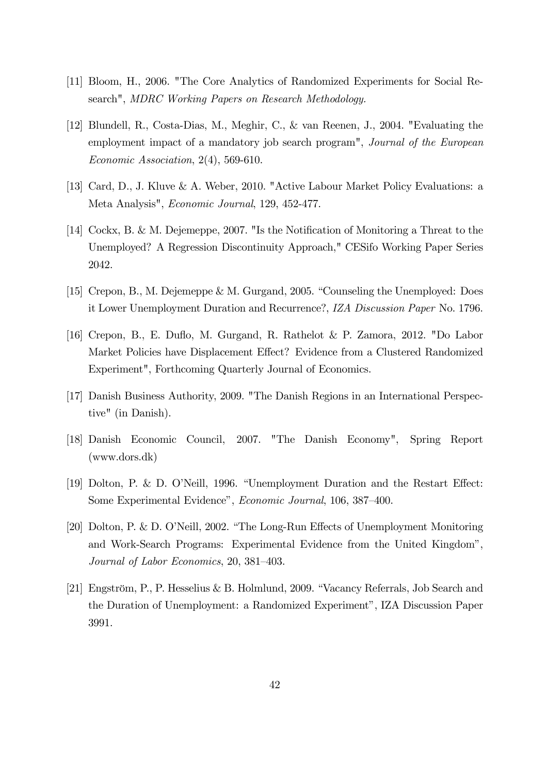- [11] Bloom, H., 2006. "The Core Analytics of Randomized Experiments for Social Research", MDRC Working Papers on Research Methodology.
- [12] Blundell, R., Costa-Dias, M., Meghir, C., & van Reenen, J., 2004. "Evaluating the employment impact of a mandatory job search program", Journal of the European Economic Association, 2(4), 569-610.
- [13] Card, D., J. Kluve & A. Weber, 2010. "Active Labour Market Policy Evaluations: a Meta Analysis", Economic Journal, 129, 452-477.
- [14] Cockx, B. & M. Dejemeppe, 2007. "Is the Notification of Monitoring a Threat to the Unemployed? A Regression Discontinuity Approach," CESifo Working Paper Series 2042.
- [15] Crepon, B., M. Dejemeppe & M. Gurgand, 2005. "Counseling the Unemployed: Does it Lower Unemployment Duration and Recurrence?, IZA Discussion Paper No. 1796.
- [16] Crepon, B., E. Duflo, M. Gurgand, R. Rathelot & P. Zamora, 2012. "Do Labor Market Policies have Displacement Effect? Evidence from a Clustered Randomized Experiment", Forthcoming Quarterly Journal of Economics.
- [17] Danish Business Authority, 2009. "The Danish Regions in an International Perspective" (in Danish).
- [18] Danish Economic Council, 2007. "The Danish Economy", Spring Report (www.dors.dk)
- [19] Dolton, P. & D. O'Neill, 1996. "Unemployment Duration and the Restart Effect: Some Experimental Evidence", Economic Journal, 106, 387—400.
- [20] Dolton, P. & D. O'Neill, 2002. "The Long-Run Effects of Unemployment Monitoring and Work-Search Programs: Experimental Evidence from the United Kingdom", Journal of Labor Economics, 20, 381—403.
- [21] Engström, P., P. Hesselius & B. Holmlund, 2009. "Vacancy Referrals, Job Search and the Duration of Unemployment: a Randomized Experiment", IZA Discussion Paper 3991.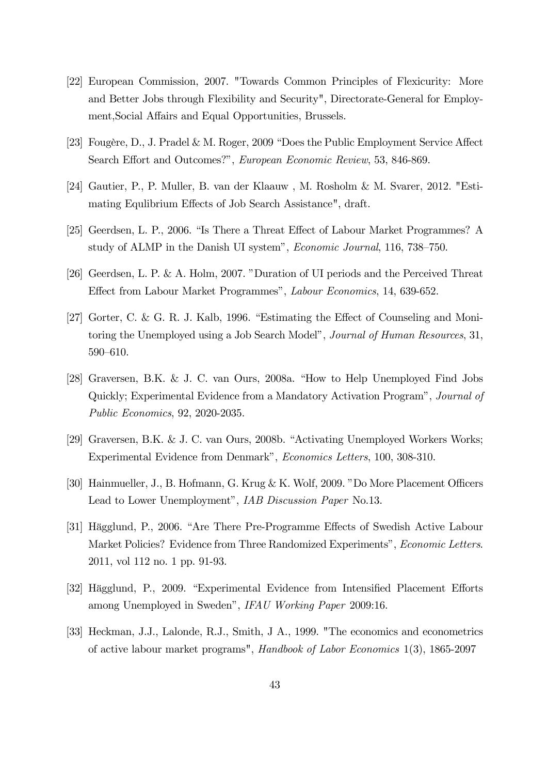- [22] European Commission, 2007. "Towards Common Principles of Flexicurity: More and Better Jobs through Flexibility and Security", Directorate-General for Employment,Social Affairs and Equal Opportunities, Brussels.
- [23] Fougère, D., J. Pradel & M. Roger, 2009 "Does the Public Employment Service Affect Search Effort and Outcomes?", European Economic Review, 53, 846-869.
- [24] Gautier, P., P. Muller, B. van der Klaauw , M. Rosholm & M. Svarer, 2012. "Estimating Equlibrium Effects of Job Search Assistance", draft.
- [25] Geerdsen, L. P., 2006. "Is There a Threat Effect of Labour Market Programmes? A study of ALMP in the Danish UI system", Economic Journal, 116, 738—750.
- [26] Geerdsen, L. P. & A. Holm, 2007. "Duration of UI periods and the Perceived Threat Effect from Labour Market Programmes", Labour Economics, 14, 639-652.
- [27] Gorter, C. & G. R. J. Kalb, 1996. "Estimating the Effect of Counseling and Monitoring the Unemployed using a Job Search Model", Journal of Human Resources, 31, 590—610.
- [28] Graversen, B.K. & J. C. van Ours, 2008a. "How to Help Unemployed Find Jobs Quickly; Experimental Evidence from a Mandatory Activation Program", Journal of Public Economics, 92, 2020-2035.
- [29] Graversen, B.K. & J. C. van Ours, 2008b. "Activating Unemployed Workers Works; Experimental Evidence from Denmark", Economics Letters, 100, 308-310.
- [30] Hainmueller, J., B. Hofmann, G. Krug & K. Wolf, 2009. "Do More Placement Officers Lead to Lower Unemployment", IAB Discussion Paper No.13.
- [31] Hägglund, P., 2006. "Are There Pre-Programme Effects of Swedish Active Labour Market Policies? Evidence from Three Randomized Experiments", Economic Letters. 2011, vol 112 no. 1 pp. 91-93.
- [32] Hägglund, P., 2009. "Experimental Evidence from Intensified Placement Efforts among Unemployed in Sweden", IFAU Working Paper 2009:16.
- [33] Heckman, J.J., Lalonde, R.J., Smith, J A., 1999. "The economics and econometrics of active labour market programs", Handbook of Labor Economics 1(3), 1865-2097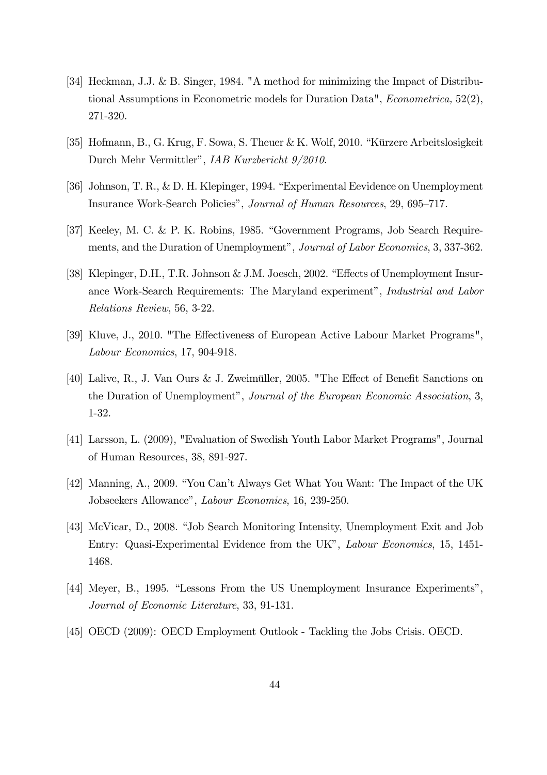- [34] Heckman, J.J. & B. Singer, 1984. "A method for minimizing the Impact of Distributional Assumptions in Econometric models for Duration Data", Econometrica, 52(2), 271-320.
- [35] Hofmann, B., G. Krug, F. Sowa, S. Theuer & K. Wolf, 2010. "Kürzere Arbeitslosigkeit Durch Mehr Vermittler", IAB Kurzbericht 9/2010.
- [36] Johnson, T. R., & D. H. Klepinger, 1994. "Experimental Eevidence on Unemployment Insurance Work-Search Policies", Journal of Human Resources, 29, 695—717.
- [37] Keeley, M. C. & P. K. Robins, 1985. "Government Programs, Job Search Requirements, and the Duration of Unemployment", Journal of Labor Economics, 3, 337-362.
- [38] Klepinger, D.H., T.R. Johnson & J.M. Joesch, 2002. "Effects of Unemployment Insurance Work-Search Requirements: The Maryland experiment", Industrial and Labor Relations Review, 56, 3-22.
- [39] Kluve, J., 2010. "The Effectiveness of European Active Labour Market Programs", Labour Economics, 17, 904-918.
- [40] Lalive, R., J. Van Ours & J. Zweimüller, 2005. "The Effect of Benefit Sanctions on the Duration of Unemployment", Journal of the European Economic Association, 3, 1-32.
- [41] Larsson, L. (2009), "Evaluation of Swedish Youth Labor Market Programs", Journal of Human Resources, 38, 891-927.
- [42] Manning, A., 2009. "You Can't Always Get What You Want: The Impact of the UK Jobseekers Allowance", Labour Economics, 16, 239-250.
- [43] McVicar, D., 2008. "Job Search Monitoring Intensity, Unemployment Exit and Job Entry: Quasi-Experimental Evidence from the UK", Labour Economics, 15, 1451- 1468.
- [44] Meyer, B., 1995. "Lessons From the US Unemployment Insurance Experiments", Journal of Economic Literature, 33, 91-131.
- [45] OECD (2009): OECD Employment Outlook Tackling the Jobs Crisis. OECD.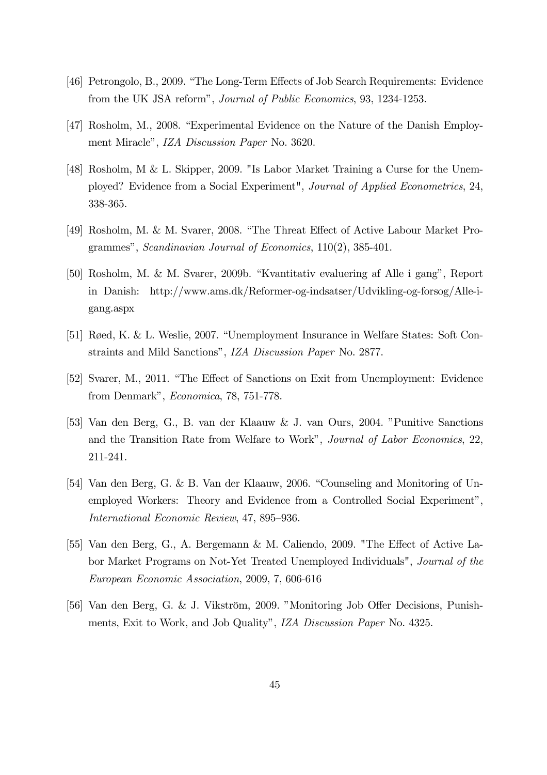- [46] Petrongolo, B., 2009. "The Long-Term Effects of Job Search Requirements: Evidence from the UK JSA reform", Journal of Public Economics, 93, 1234-1253.
- [47] Rosholm, M., 2008. "Experimental Evidence on the Nature of the Danish Employment Miracle", IZA Discussion Paper No. 3620.
- [48] Rosholm, M & L. Skipper, 2009. "Is Labor Market Training a Curse for the Unemployed? Evidence from a Social Experiment", Journal of Applied Econometrics, 24, 338-365.
- [49] Rosholm, M. & M. Svarer, 2008. "The Threat Effect of Active Labour Market Programmes", Scandinavian Journal of Economics, 110(2), 385-401.
- [50] Rosholm, M. & M. Svarer, 2009b. "Kvantitativ evaluering af Alle i gang", Report in Danish: http://www.ams.dk/Reformer-og-indsatser/Udvikling-og-forsog/Alle-igang.aspx
- [51] Røed, K. & L. Weslie, 2007. "Unemployment Insurance in Welfare States: Soft Constraints and Mild Sanctions", IZA Discussion Paper No. 2877.
- [52] Svarer, M., 2011. "The Effect of Sanctions on Exit from Unemployment: Evidence from Denmark", Economica, 78, 751-778.
- [53] Van den Berg, G., B. van der Klaauw & J. van Ours, 2004. "Punitive Sanctions and the Transition Rate from Welfare to Work", Journal of Labor Economics, 22, 211-241.
- [54] Van den Berg, G. & B. Van der Klaauw, 2006. "Counseling and Monitoring of Unemployed Workers: Theory and Evidence from a Controlled Social Experiment", International Economic Review, 47, 895—936.
- [55] Van den Berg, G., A. Bergemann & M. Caliendo, 2009. "The Effect of Active Labor Market Programs on Not-Yet Treated Unemployed Individuals", Journal of the European Economic Association, 2009, 7, 606-616
- [56] Van den Berg, G. & J. Vikström, 2009. "Monitoring Job Offer Decisions, Punishments, Exit to Work, and Job Quality", IZA Discussion Paper No. 4325.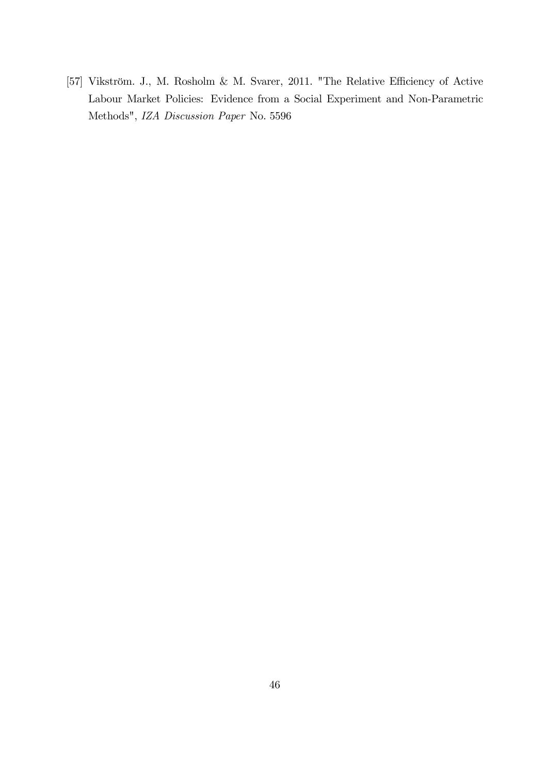[57] Vikström. J., M. Rosholm & M. Svarer, 2011. "The Relative Efficiency of Active Labour Market Policies: Evidence from a Social Experiment and Non-Parametric Methods", IZA Discussion Paper No. 5596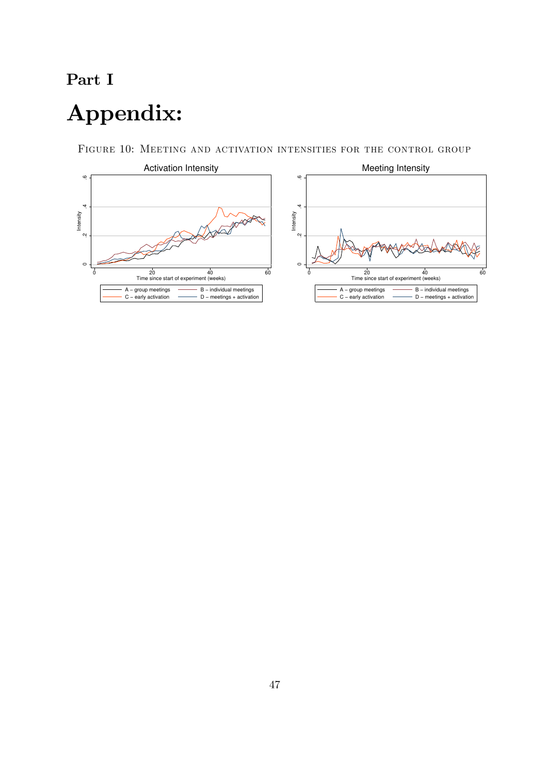## Part I

# Appendix:

FIGURE 10: MEETING AND ACTIVATION INTENSITIES FOR THE CONTROL GROUP

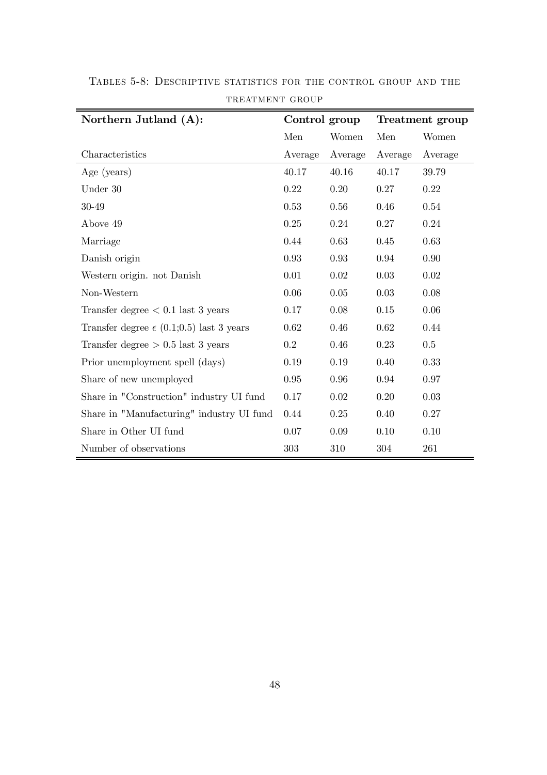| Northern Jutland (A):                             | Control group |         | Treatment group |         |
|---------------------------------------------------|---------------|---------|-----------------|---------|
|                                                   | Men           | Women   | Men             | Women   |
| Characteristics                                   | Average       | Average | Average         | Average |
| Age (years)                                       | 40.17         | 40.16   | 40.17           | 39.79   |
| Under 30                                          | 0.22          | 0.20    | 0.27            | 0.22    |
| 30-49                                             | 0.53          | 0.56    | 0.46            | 0.54    |
| Above 49                                          | 0.25          | 0.24    | 0.27            | 0.24    |
| Marriage                                          | 0.44          | 0.63    | 0.45            | 0.63    |
| Danish origin                                     | 0.93          | 0.93    | 0.94            | 0.90    |
| Western origin. not Danish                        | 0.01          | 0.02    | 0.03            | 0.02    |
| Non-Western                                       | 0.06          | 0.05    | 0.03            | 0.08    |
| Transfer degree $< 0.1$ last 3 years              | 0.17          | 0.08    | $0.15\,$        | 0.06    |
| Transfer degree $\epsilon$ (0.1;0.5) last 3 years | 0.62          | 0.46    | 0.62            | 0.44    |
| Transfer degree $> 0.5$ last 3 years              | $0.2\,$       | 0.46    | 0.23            | 0.5     |
| Prior unemployment spell (days)                   | 0.19          | 0.19    | 0.40            | 0.33    |
| Share of new unemployed                           | $0.95\,$      | 0.96    | 0.94            | 0.97    |
| Share in "Construction" industry UI fund          | 0.17          | 0.02    | 0.20            | 0.03    |
| Share in "Manufacturing" industry UI fund         | 0.44          | 0.25    | 0.40            | 0.27    |
| Share in Other UI fund                            | 0.07          | 0.09    | 0.10            | 0.10    |
| Number of observations                            | 303           | 310     | 304             | 261     |

TABLES 5-8: DESCRIPTIVE STATISTICS FOR THE CONTROL GROUP AND THE TREATMENT GROUP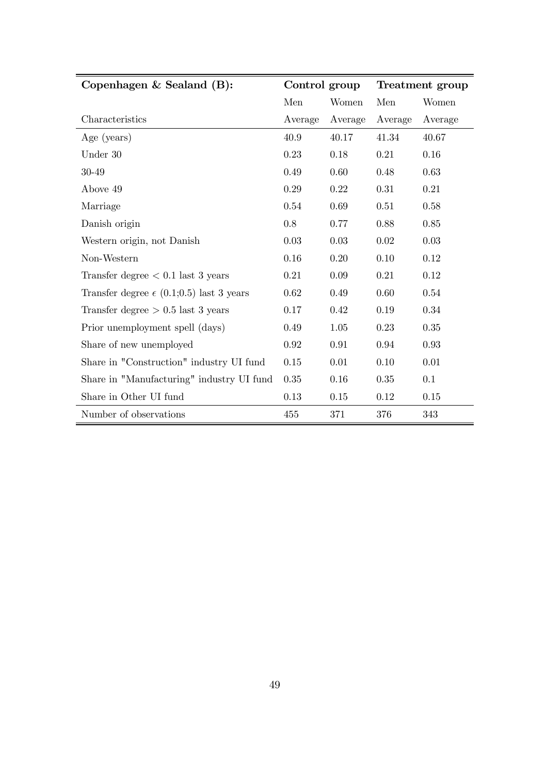| Copenhagen $&$ Sealand $(B)$ :                    | Control group |         | Treatment group |          |
|---------------------------------------------------|---------------|---------|-----------------|----------|
|                                                   | Men           | Women   | Men             | Women    |
| Characteristics                                   | Average       | Average | Average         | Average  |
| Age (years)                                       | 40.9          | 40.17   | 41.34           | 40.67    |
| Under 30                                          | 0.23          | 0.18    | 0.21            | 0.16     |
| 30-49                                             | 0.49          | 0.60    | 0.48            | 0.63     |
| Above 49                                          | 0.29          | 0.22    | 0.31            | 0.21     |
| Marriage                                          | 0.54          | 0.69    | 0.51            | 0.58     |
| Danish origin                                     | 0.8           | 0.77    | 0.88            | 0.85     |
| Western origin, not Danish                        | $0.03\,$      | 0.03    | $0.02\,$        | 0.03     |
| Non-Western                                       | 0.16          | 0.20    | 0.10            | 0.12     |
| Transfer degree $< 0.1$ last 3 years              | 0.21          | 0.09    | 0.21            | 0.12     |
| Transfer degree $\epsilon$ (0.1;0.5) last 3 years | 0.62          | 0.49    | 0.60            | 0.54     |
| Transfer degree $> 0.5$ last 3 years              | 0.17          | 0.42    | 0.19            | 0.34     |
| Prior unemployment spell (days)                   | 0.49          | 1.05    | 0.23            | 0.35     |
| Share of new unemployed                           | 0.92          | 0.91    | 0.94            | 0.93     |
| Share in "Construction" industry UI fund          | 0.15          | 0.01    | 0.10            | 0.01     |
| Share in "Manufacturing" industry UI fund         | 0.35          | 0.16    | 0.35            | 0.1      |
| Share in Other UI fund                            | 0.13          | 0.15    | 0.12            | $0.15\,$ |
| Number of observations                            | 455           | 371     | 376             | 343      |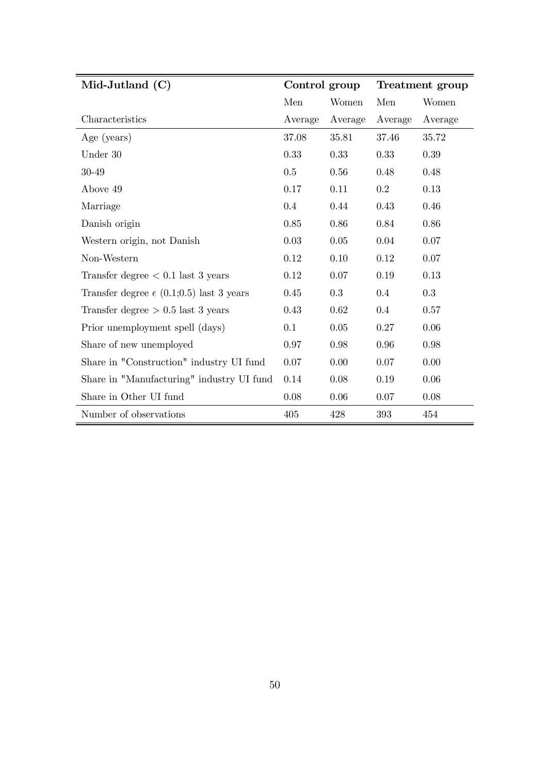| Mid-Jutland $(C)$                                 | Control group |         | Treatment group |         |
|---------------------------------------------------|---------------|---------|-----------------|---------|
|                                                   | Men           | Women   | Men             | Women   |
| Characteristics                                   | Average       | Average | Average         | Average |
| Age (years)                                       | 37.08         | 35.81   | 37.46           | 35.72   |
| Under 30                                          | 0.33          | 0.33    | 0.33            | 0.39    |
| 30-49                                             | 0.5           | 0.56    | 0.48            | 0.48    |
| Above 49                                          | 0.17          | 0.11    | 0.2             | 0.13    |
| Marriage                                          | 0.4           | 0.44    | 0.43            | 0.46    |
| Danish origin                                     | 0.85          | 0.86    | 0.84            | 0.86    |
| Western origin, not Danish                        | 0.03          | 0.05    | 0.04            | 0.07    |
| Non-Western                                       | 0.12          | 0.10    | 0.12            | 0.07    |
| Transfer degree $< 0.1$ last 3 years              | 0.12          | 0.07    | 0.19            | 0.13    |
| Transfer degree $\epsilon$ (0.1;0.5) last 3 years | 0.45          | 0.3     | 0.4             | 0.3     |
| Transfer degree $> 0.5$ last 3 years              | 0.43          | 0.62    | 0.4             | 0.57    |
| Prior unemployment spell (days)                   | 0.1           | 0.05    | 0.27            | 0.06    |
| Share of new unemployed                           | 0.97          | 0.98    | 0.96            | 0.98    |
| Share in "Construction" industry UI fund          | 0.07          | 0.00    | 0.07            | 0.00    |
| Share in "Manufacturing" industry UI fund         | 0.14          | 0.08    | 0.19            | 0.06    |
| Share in Other UI fund                            | 0.08          | 0.06    | 0.07            | 0.08    |
| Number of observations                            | 405           | 428     | 393             | 454     |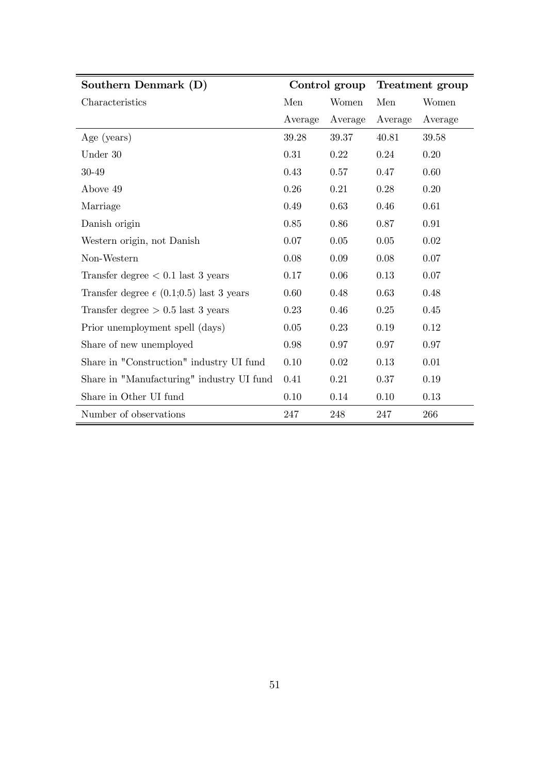| Southern Denmark (D)                              | Control group |         | Treatment group |         |
|---------------------------------------------------|---------------|---------|-----------------|---------|
| Characteristics                                   | Men           | Women   | Men             | Women   |
|                                                   | Average       | Average | Average         | Average |
| Age (years)                                       | 39.28         | 39.37   | 40.81           | 39.58   |
| Under 30                                          | 0.31          | 0.22    | 0.24            | 0.20    |
| 30-49                                             | 0.43          | 0.57    | 0.47            | 0.60    |
| Above 49                                          | 0.26          | 0.21    | 0.28            | 0.20    |
| Marriage                                          | 0.49          | 0.63    | 0.46            | 0.61    |
| Danish origin                                     | 0.85          | 0.86    | 0.87            | 0.91    |
| Western origin, not Danish                        | 0.07          | 0.05    | $0.05\,$        | 0.02    |
| Non-Western                                       | 0.08          | 0.09    | 0.08            | 0.07    |
| Transfer degree $< 0.1$ last 3 years              | 0.17          | 0.06    | 0.13            | 0.07    |
| Transfer degree $\epsilon$ (0.1;0.5) last 3 years | 0.60          | 0.48    | 0.63            | 0.48    |
| Transfer degree $> 0.5$ last 3 years              | 0.23          | 0.46    | 0.25            | 0.45    |
| Prior unemployment spell (days)                   | 0.05          | 0.23    | 0.19            | 0.12    |
| Share of new unemployed                           | 0.98          | 0.97    | 0.97            | 0.97    |
| Share in "Construction" industry UI fund          | 0.10          | 0.02    | 0.13            | 0.01    |
| Share in "Manufacturing" industry UI fund         | 0.41          | 0.21    | 0.37            | 0.19    |
| Share in Other UI fund                            | 0.10          | 0.14    | 0.10            | 0.13    |
| Number of observations                            | 247           | 248     | 247             | 266     |